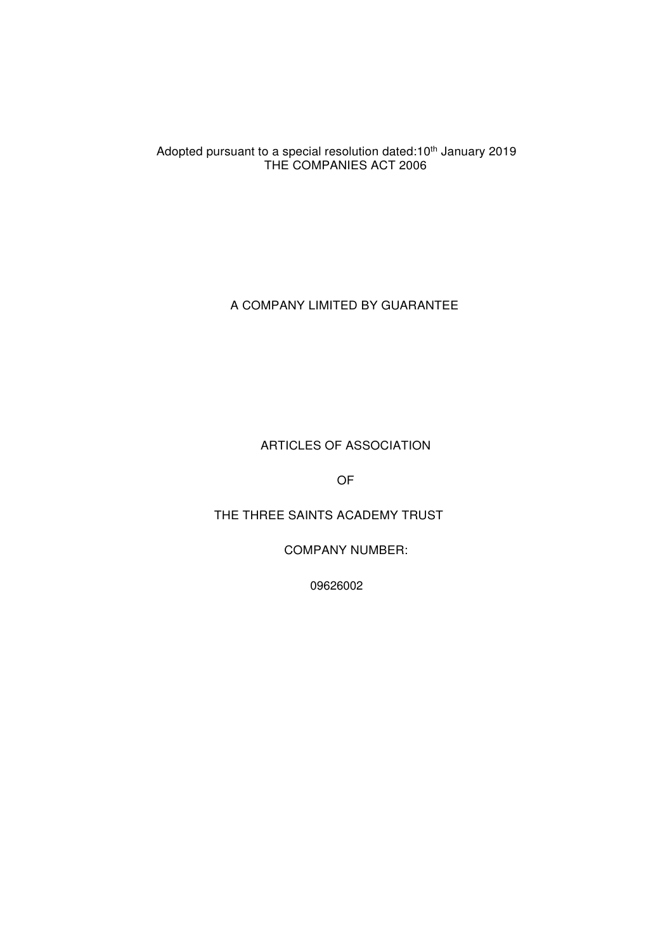Adopted pursuant to a special resolution dated:10<sup>th</sup> January 2019 THE COMPANIES ACT 2006

A COMPANY LIMITED BY GUARANTEE

ARTICLES OF ASSOCIATION

OF

THE THREE SAINTS ACADEMY TRUST

COMPANY NUMBER:

09626002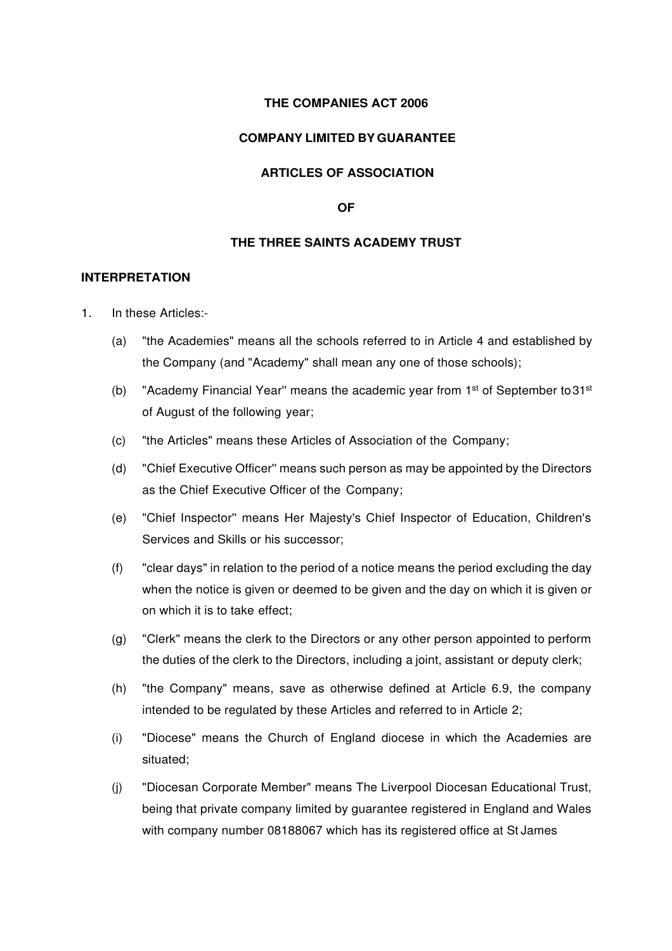### **THE COMPANIES ACT 2006**

#### **COMPANY LIMITED BY GUARANTEE**

### **ARTICLES OF ASSOCIATION**

#### **OF**

## **THE THREE SAINTS ACADEMY TRUST**

### **INTERPRETATION**

- 1. In these Articles:-
	- (a) "the Academies" means all the schools referred to in Article 4 and established by the Company (and "Academy" shall mean any one of those schools);
	- (b) "Academy Financial Year" means the academic year from  $1<sup>st</sup>$  of September to 31 $<sup>st</sup>$ </sup> of August of the following year;
	- (c) "the Articles" means these Articles of Association of the Company;
	- (d) "Chief Executive Officer'' means such person as may be appointed by the Directors as the Chief Executive Officer of the Company;
	- (e) "Chief Inspector'' means Her Majesty's Chief Inspector of Education, Children's Services and Skills or his successor;
	- (f) "clear days" in relation to the period of a notice means the period excluding the day when the notice is given or deemed to be given and the day on which it is given or on which it is to take effect;
	- (g) "Clerk" means the clerk to the Directors or any other person appointed to perform the duties of the clerk to the Directors, including a joint, assistant or deputy clerk;
	- (h) "the Company" means, save as otherwise defined at Article 6.9, the company intended to be regulated by these Articles and referred to in Article 2;
	- (i) "Diocese" means the Church of England diocese in which the Academies are situated;
	- (j) "Diocesan Corporate Member" means The Liverpool Diocesan Educational Trust, being that private company limited by guarantee registered in England and Wales with company number 08188067 which has its registered office at St James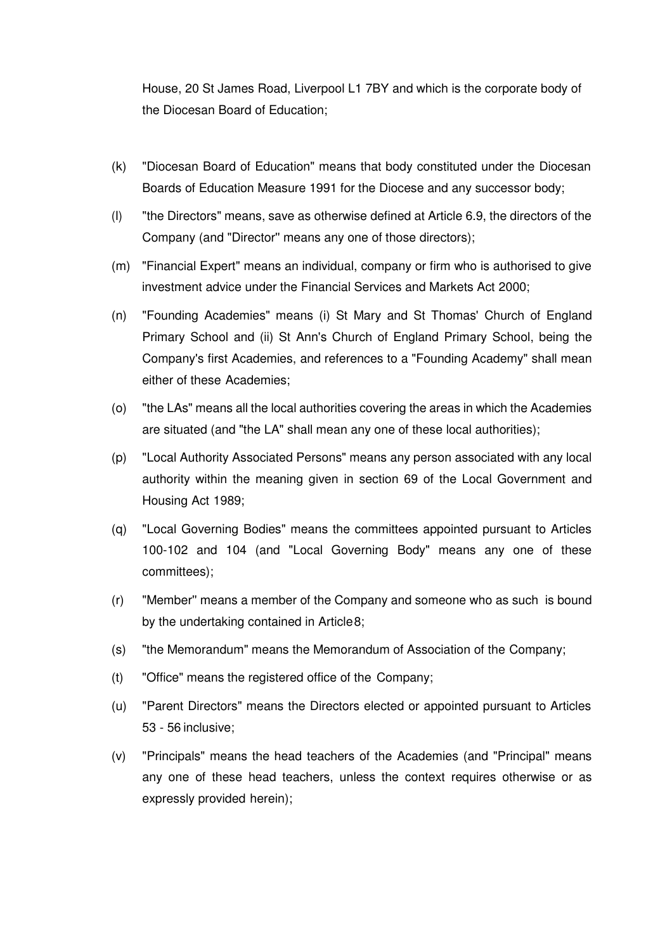House, 20 St James Road, Liverpool L1 7BY and which is the corporate body of the Diocesan Board of Education;

- (k) "Diocesan Board of Education" means that body constituted under the Diocesan Boards of Education Measure 1991 for the Diocese and any successor body;
- (I) "the Directors" means, save as otherwise defined at Article 6.9, the directors of the Company (and "Director'' means any one of those directors);
- (m) "Financial Expert" means an individual, company or firm who is authorised to give investment advice under the Financial Services and Markets Act 2000;
- (n) "Founding Academies" means (i) St Mary and St Thomas' Church of England Primary School and (ii) St Ann's Church of England Primary School, being the Company's first Academies, and references to a "Founding Academy" shall mean either of these Academies;
- (o) "the LAs" means all the local authorities covering the areas in which the Academies are situated (and "the LA" shall mean any one of these local authorities);
- (p) "Local Authority Associated Persons" means any person associated with any local authority within the meaning given in section 69 of the Local Government and Housing Act 1989;
- (q) "Local Governing Bodies" means the committees appointed pursuant to Articles 100-102 and 104 (and "Local Governing Body" means any one of these committees);
- (r) "Member'' means a member of the Company and someone who as such is bound by the undertaking contained in Article 8;
- (s) "the Memorandum" means the Memorandum of Association of the Company;
- (t) "Office" means the registered office of the Company;
- (u) "Parent Directors" means the Directors elected or appointed pursuant to Articles 53 - 56 inclusive;
- (v) "Principals" means the head teachers of the Academies (and "Principal" means any one of these head teachers, unless the context requires otherwise or as expressly provided herein);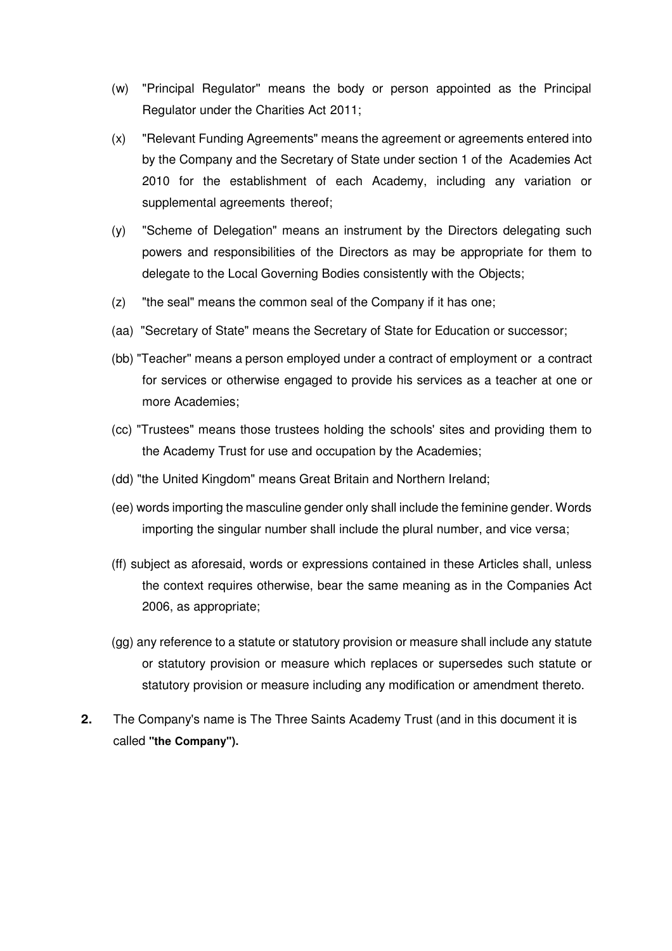- (w) "Principal Regulator'' means the body or person appointed as the Principal Regulator under the Charities Act 2011;
- (x) "Relevant Funding Agreements" means the agreement or agreements entered into by the Company and the Secretary of State under section 1 of the Academies Act 2010 for the establishment of each Academy, including any variation or supplemental agreements thereof;
- (y) "Scheme of Delegation" means an instrument by the Directors delegating such powers and responsibilities of the Directors as may be appropriate for them to delegate to the Local Governing Bodies consistently with the Objects;
- (z) "the seal" means the common seal of the Company if it has one;
- (aa) "Secretary of State" means the Secretary of State for Education or successor;
- (bb) "Teacher'' means a person employed under a contract of employment or a contract for services or otherwise engaged to provide his services as a teacher at one or more Academies;
- (cc) "Trustees" means those trustees holding the schools' sites and providing them to the Academy Trust for use and occupation by the Academies;
- (dd) "the United Kingdom" means Great Britain and Northern Ireland;
- (ee) words importing the masculine gender only shall include the feminine gender. Words importing the singular number shall include the plural number, and vice versa;
- (ff) subject as aforesaid, words or expressions contained in these Articles shall, unless the context requires otherwise, bear the same meaning as in the Companies Act 2006, as appropriate;
- (gg) any reference to a statute or statutory provision or measure shall include any statute or statutory provision or measure which replaces or supersedes such statute or statutory provision or measure including any modification or amendment thereto.
- **2.** The Company's name is The Three Saints Academy Trust (and in this document it is called **"the Company").**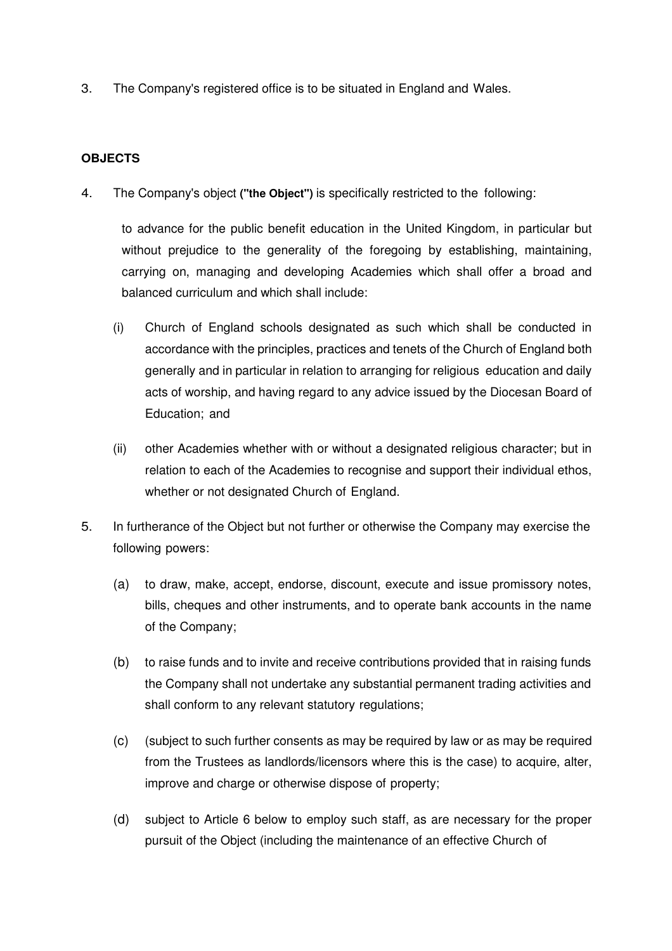3. The Company's registered office is to be situated in England and Wales.

# **OBJECTS**

4. The Company's object **("the Object")** is specifically restricted to the following:

to advance for the public benefit education in the United Kingdom, in particular but without prejudice to the generality of the foregoing by establishing, maintaining, carrying on, managing and developing Academies which shall offer a broad and balanced curriculum and which shall include:

- (i) Church of England schools designated as such which shall be conducted in accordance with the principles, practices and tenets of the Church of England both generally and in particular in relation to arranging for religious education and daily acts of worship, and having regard to any advice issued by the Diocesan Board of Education; and
- (ii) other Academies whether with or without a designated religious character; but in relation to each of the Academies to recognise and support their individual ethos, whether or not designated Church of England.
- 5. In furtherance of the Object but not further or otherwise the Company may exercise the following powers:
	- (a) to draw, make, accept, endorse, discount, execute and issue promissory notes, bills, cheques and other instruments, and to operate bank accounts in the name of the Company;
	- (b) to raise funds and to invite and receive contributions provided that in raising funds the Company shall not undertake any substantial permanent trading activities and shall conform to any relevant statutory regulations;
	- (c) (subject to such further consents as may be required by law or as may be required from the Trustees as landlords/licensors where this is the case) to acquire, alter, improve and charge or otherwise dispose of property;
	- (d) subject to Article 6 below to employ such staff, as are necessary for the proper pursuit of the Object (including the maintenance of an effective Church of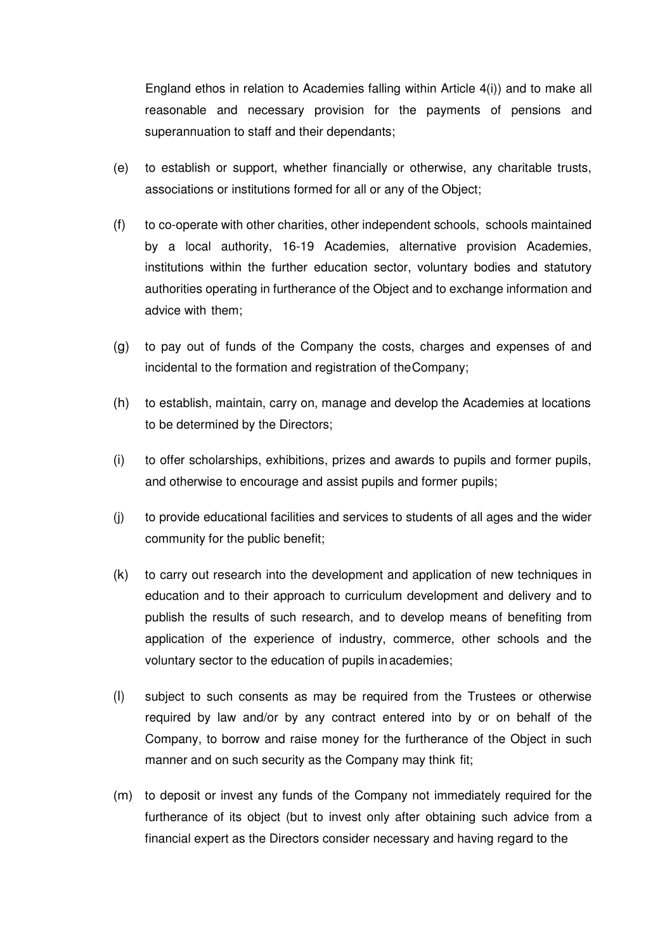England ethos in relation to Academies falling within Article 4(i)) and to make all reasonable and necessary provision for the payments of pensions and superannuation to staff and their dependants;

- (e) to establish or support, whether financially or otherwise, any charitable trusts, associations or institutions formed for all or any of the Object;
- (f) to co-operate with other charities, other independent schools, schools maintained by a local authority, 16-19 Academies, alternative provision Academies, institutions within the further education sector, voluntary bodies and statutory authorities operating in furtherance of the Object and to exchange information and advice with them;
- (g) to pay out of funds of the Company the costs, charges and expenses of and incidental to the formation and registration of the Company;
- (h) to establish, maintain, carry on, manage and develop the Academies at locations to be determined by the Directors;
- (i) to offer scholarships, exhibitions, prizes and awards to pupils and former pupils, and otherwise to encourage and assist pupils and former pupils;
- (j) to provide educational facilities and services to students of all ages and the wider community for the public benefit;
- (k) to carry out research into the development and application of new techniques in education and to their approach to curriculum development and delivery and to publish the results of such research, and to develop means of benefiting from application of the experience of industry, commerce, other schools and the voluntary sector to the education of pupils in academies;
- (I) subject to such consents as may be required from the Trustees or otherwise required by law and/or by any contract entered into by or on behalf of the Company, to borrow and raise money for the furtherance of the Object in such manner and on such security as the Company may think fit;
- (m) to deposit or invest any funds of the Company not immediately required for the furtherance of its object (but to invest only after obtaining such advice from a financial expert as the Directors consider necessary and having regard to the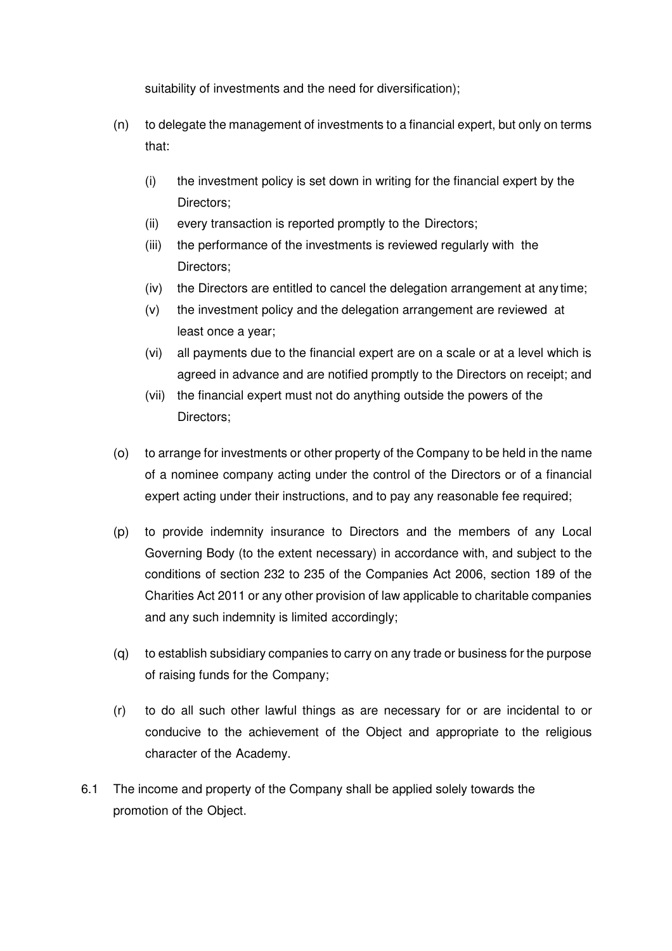suitability of investments and the need for diversification);

- (n) to delegate the management of investments to a financial expert, but only on terms that:
	- (i) the investment policy is set down in writing for the financial expert by the Directors;
	- (ii) every transaction is reported promptly to the Directors;
	- (iii) the performance of the investments is reviewed regularly with the Directors;
	- (iv) the Directors are entitled to cancel the delegation arrangement at any time;
	- (v) the investment policy and the delegation arrangement are reviewed at least once a year;
	- (vi) all payments due to the financial expert are on a scale or at a level which is agreed in advance and are notified promptly to the Directors on receipt; and
	- (vii) the financial expert must not do anything outside the powers of the Directors;
- (o) to arrange for investments or other property of the Company to be held in the name of a nominee company acting under the control of the Directors or of a financial expert acting under their instructions, and to pay any reasonable fee required;
- (p) to provide indemnity insurance to Directors and the members of any Local Governing Body (to the extent necessary) in accordance with, and subject to the conditions of section 232 to 235 of the Companies Act 2006, section 189 of the Charities Act 2011 or any other provision of law applicable to charitable companies and any such indemnity is limited accordingly;
- (q) to establish subsidiary companies to carry on any trade or business for the purpose of raising funds for the Company;
- (r) to do all such other lawful things as are necessary for or are incidental to or conducive to the achievement of the Object and appropriate to the religious character of the Academy.
- 6.1 The income and property of the Company shall be applied solely towards the promotion of the Object.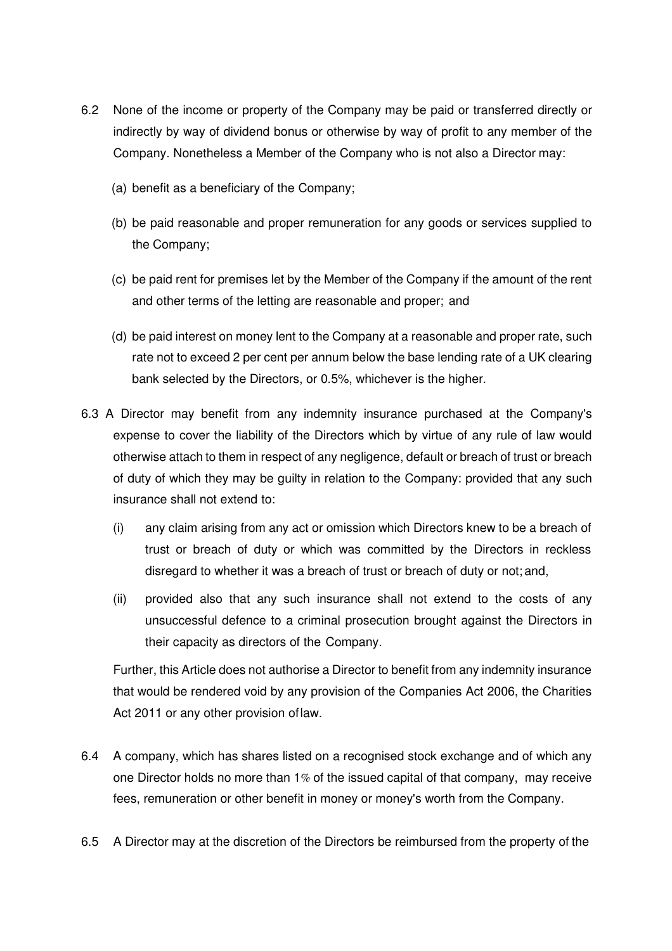- 6.2 None of the income or property of the Company may be paid or transferred directly or indirectly by way of dividend bonus or otherwise by way of profit to any member of the Company. Nonetheless a Member of the Company who is not also a Director may:
	- (a) benefit as a beneficiary of the Company;
	- (b) be paid reasonable and proper remuneration for any goods or services supplied to the Company;
	- (c) be paid rent for premises let by the Member of the Company if the amount of the rent and other terms of the letting are reasonable and proper; and
	- (d) be paid interest on money lent to the Company at a reasonable and proper rate, such rate not to exceed 2 per cent per annum below the base lending rate of a UK clearing bank selected by the Directors, or 0.5%, whichever is the higher.
- 6.3 A Director may benefit from any indemnity insurance purchased at the Company's expense to cover the liability of the Directors which by virtue of any rule of law would otherwise attach to them in respect of any negligence, default or breach of trust or breach of duty of which they may be guilty in relation to the Company: provided that any such insurance shall not extend to:
	- (i) any claim arising from any act or omission which Directors knew to be a breach of trust or breach of duty or which was committed by the Directors in reckless disregard to whether it was a breach of trust or breach of duty or not; and,
	- (ii) provided also that any such insurance shall not extend to the costs of any unsuccessful defence to a criminal prosecution brought against the Directors in their capacity as directors of the Company.

Further, this Article does not authorise a Director to benefit from any indemnity insurance that would be rendered void by any provision of the Companies Act 2006, the Charities Act 2011 or any other provision of law.

- 6.4 A company, which has shares listed on a recognised stock exchange and of which any one Director holds no more than 1% of the issued capital of that company, may receive fees, remuneration or other benefit in money or money's worth from the Company.
- 6.5 A Director may at the discretion of the Directors be reimbursed from the property of the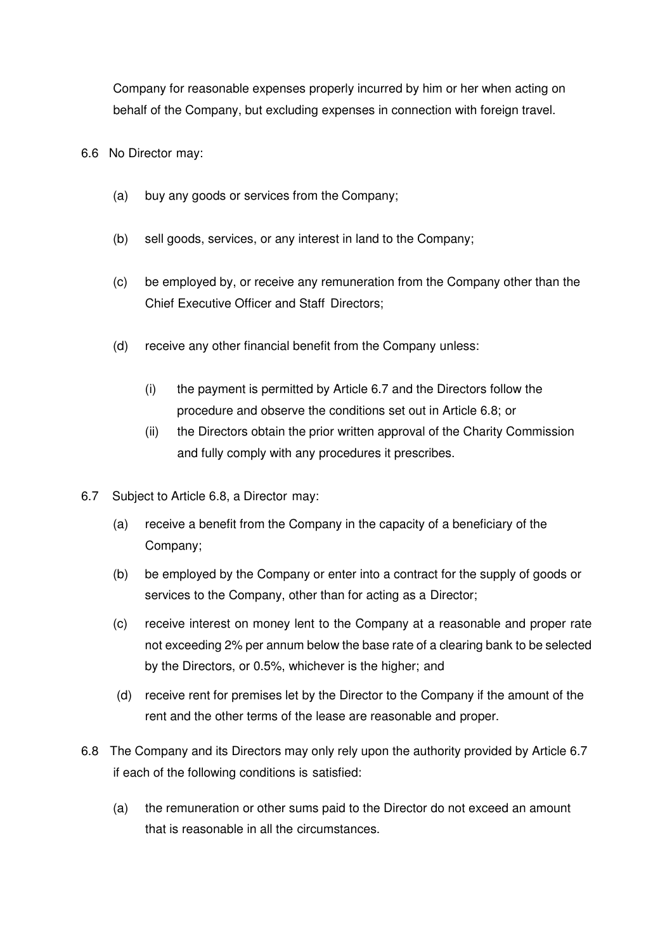Company for reasonable expenses properly incurred by him or her when acting on behalf of the Company, but excluding expenses in connection with foreign travel.

- 6.6 No Director may:
	- (a) buy any goods or services from the Company;
	- (b) sell goods, services, or any interest in land to the Company;
	- (c) be employed by, or receive any remuneration from the Company other than the Chief Executive Officer and Staff Directors;
	- (d) receive any other financial benefit from the Company unless:
		- (i) the payment is permitted by Article 6.7 and the Directors follow the procedure and observe the conditions set out in Article 6.8; or
		- (ii) the Directors obtain the prior written approval of the Charity Commission and fully comply with any procedures it prescribes.
- 6.7 Subject to Article 6.8, a Director may:
	- (a) receive a benefit from the Company in the capacity of a beneficiary of the Company;
	- (b) be employed by the Company or enter into a contract for the supply of goods or services to the Company, other than for acting as a Director;
	- (c) receive interest on money lent to the Company at a reasonable and proper rate not exceeding 2% per annum below the base rate of a clearing bank to be selected by the Directors, or 0.5%, whichever is the higher; and
	- (d) receive rent for premises let by the Director to the Company if the amount of the rent and the other terms of the lease are reasonable and proper.
- 6.8 The Company and its Directors may only rely upon the authority provided by Article 6.7 if each of the following conditions is satisfied:
	- (a) the remuneration or other sums paid to the Director do not exceed an amount that is reasonable in all the circumstances.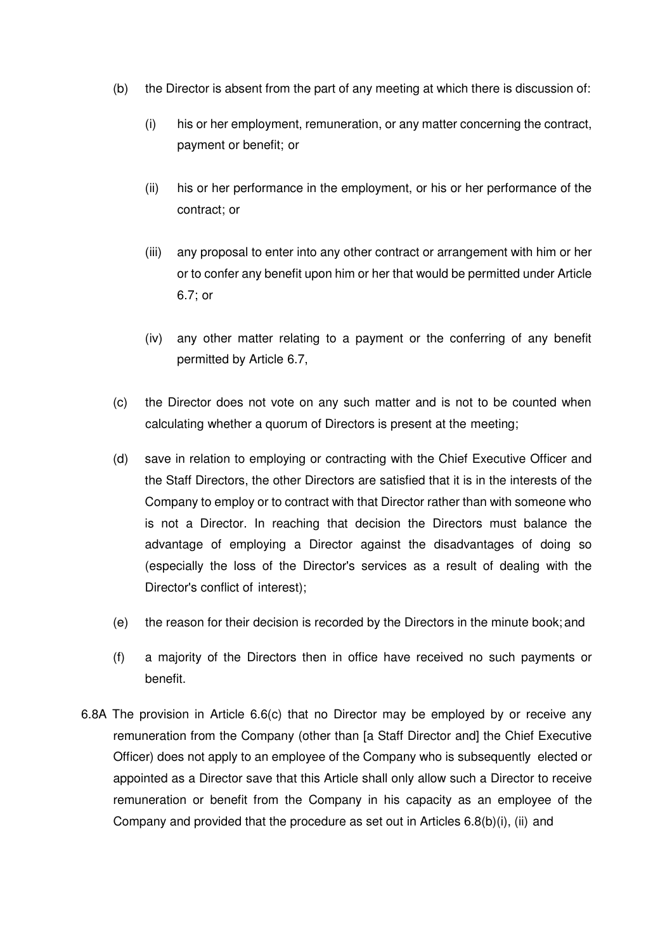- (b) the Director is absent from the part of any meeting at which there is discussion of:
	- (i) his or her employment, remuneration, or any matter concerning the contract, payment or benefit; or
	- (ii) his or her performance in the employment, or his or her performance of the contract; or
	- (iii) any proposal to enter into any other contract or arrangement with him or her or to confer any benefit upon him or her that would be permitted under Article 6.7; or
	- (iv) any other matter relating to a payment or the conferring of any benefit permitted by Article 6.7,
- (c) the Director does not vote on any such matter and is not to be counted when calculating whether a quorum of Directors is present at the meeting;
- (d) save in relation to employing or contracting with the Chief Executive Officer and the Staff Directors, the other Directors are satisfied that it is in the interests of the Company to employ or to contract with that Director rather than with someone who is not a Director. In reaching that decision the Directors must balance the advantage of employing a Director against the disadvantages of doing so (especially the loss of the Director's services as a result of dealing with the Director's conflict of interest);
- (e) the reason for their decision is recorded by the Directors in the minute book; and
- (f) a majority of the Directors then in office have received no such payments or benefit.
- 6.8A The provision in Article 6.6(c) that no Director may be employed by or receive any remuneration from the Company (other than [a Staff Director and] the Chief Executive Officer) does not apply to an employee of the Company who is subsequently elected or appointed as a Director save that this Article shall only allow such a Director to receive remuneration or benefit from the Company in his capacity as an employee of the Company and provided that the procedure as set out in Articles 6.8(b)(i), (ii) and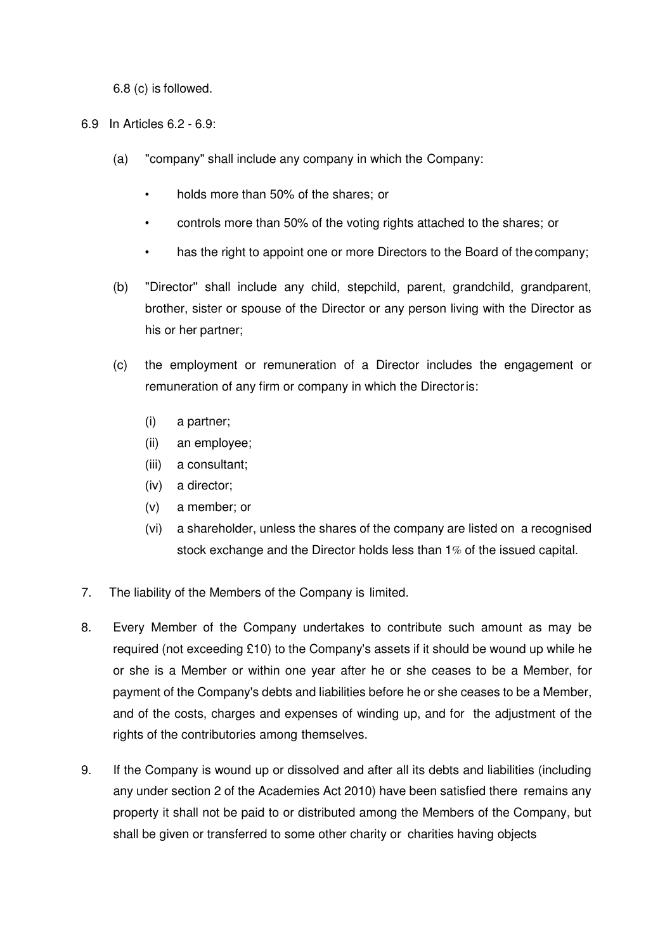6.8 (c) is followed.

6.9 In Articles 6.2 - 6.9:

- (a) "company" shall include any company in which the Company:
	- holds more than 50% of the shares; or
	- controls more than 50% of the voting rights attached to the shares; or
	- has the right to appoint one or more Directors to the Board of the company;
- (b) "Director'' shall include any child, stepchild, parent, grandchild, grandparent, brother, sister or spouse of the Director or any person living with the Director as his or her partner;
- (c) the employment or remuneration of a Director includes the engagement or remuneration of any firm or company in which the Director is:
	- (i) a partner;
	- (ii) an employee;
	- (iii) a consultant;
	- (iv) a director;
	- (v) a member; or
	- (vi) a shareholder, unless the shares of the company are listed on a recognised stock exchange and the Director holds less than 1% of the issued capital.
- 7. The liability of the Members of the Company is limited.
- 8. Every Member of the Company undertakes to contribute such amount as may be required (not exceeding £10) to the Company's assets if it should be wound up while he or she is a Member or within one year after he or she ceases to be a Member, for payment of the Company's debts and liabilities before he or she ceases to be a Member, and of the costs, charges and expenses of winding up, and for the adjustment of the rights of the contributories among themselves.
- 9. If the Company is wound up or dissolved and after all its debts and liabilities (including any under section 2 of the Academies Act 2010) have been satisfied there remains any property it shall not be paid to or distributed among the Members of the Company, but shall be given or transferred to some other charity or charities having objects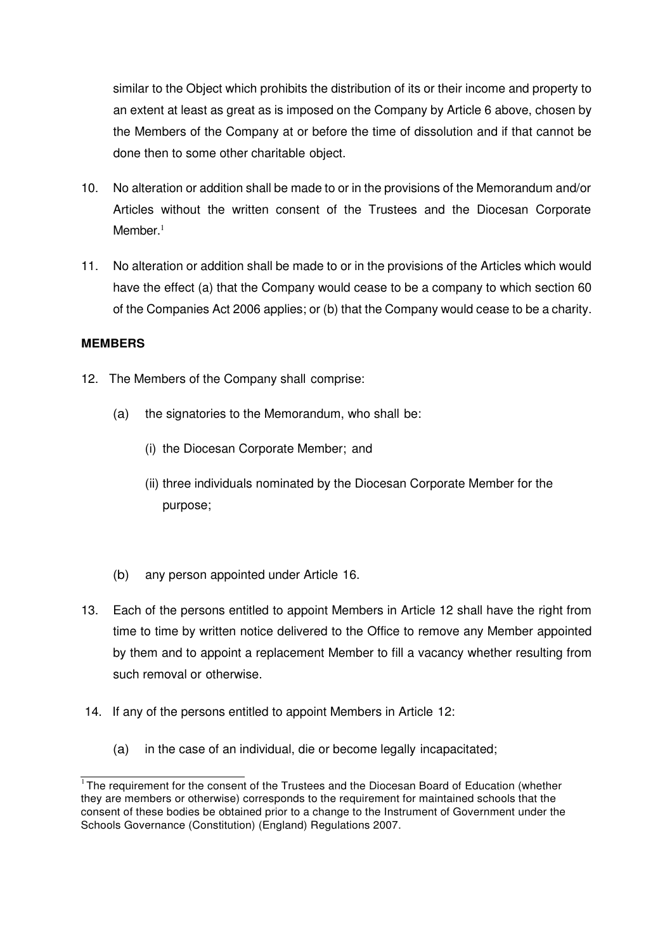similar to the Object which prohibits the distribution of its or their income and property to an extent at least as great as is imposed on the Company by Article 6 above, chosen by the Members of the Company at or before the time of dissolution and if that cannot be done then to some other charitable object.

- 10. No alteration or addition shall be made to or in the provisions of the Memorandum and/or Articles without the written consent of the Trustees and the Diocesan Corporate Member.<sup>1</sup>
- 11. No alteration or addition shall be made to or in the provisions of the Articles which would have the effect (a) that the Company would cease to be a company to which section 60 of the Companies Act 2006 applies; or (b) that the Company would cease to be a charity.

# **MEMBERS**

- 12. The Members of the Company shall comprise:
	- (a) the signatories to the Memorandum, who shall be:
		- (i) the Diocesan Corporate Member; and
		- (ii) three individuals nominated by the Diocesan Corporate Member for the purpose;
	- (b) any person appointed under Article 16.
- 13. Each of the persons entitled to appoint Members in Article 12 shall have the right from time to time by written notice delivered to the Office to remove any Member appointed by them and to appoint a replacement Member to fill a vacancy whether resulting from such removal or otherwise.
- 14. If any of the persons entitled to appoint Members in Article 12:
	- (a) in the case of an individual, die or become legally incapacitated;

 $1$ The requirement for the consent of the Trustees and the Diocesan Board of Education (whether they are members or otherwise) corresponds to the requirement for maintained schools that the consent of these bodies be obtained prior to a change to the Instrument of Government under the Schools Governance (Constitution) (England) Regulations 2007.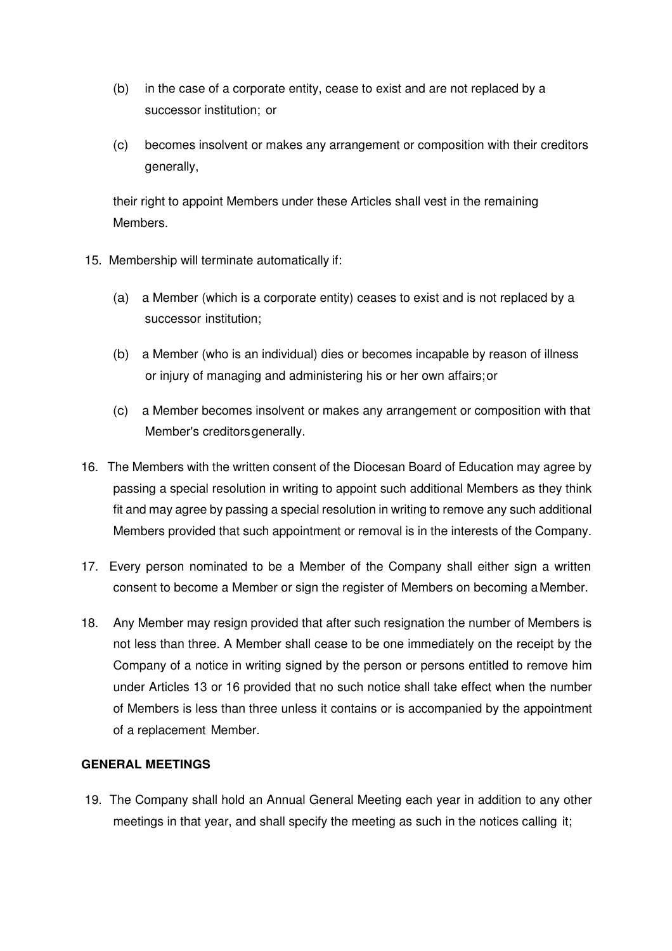- (b) in the case of a corporate entity, cease to exist and are not replaced by a successor institution; or
- (c) becomes insolvent or makes any arrangement or composition with their creditors generally,

their right to appoint Members under these Articles shall vest in the remaining Members.

- 15. Membership will terminate automatically if:
	- (a) a Member (which is a corporate entity) ceases to exist and is not replaced by a successor institution;
	- (b) a Member (who is an individual) dies or becomes incapable by reason of illness or injury of managing and administering his or her own affairs; or
	- (c) a Member becomes insolvent or makes any arrangement or composition with that Member's creditors generally.
- 16. The Members with the written consent of the Diocesan Board of Education may agree by passing a special resolution in writing to appoint such additional Members as they think fit and may agree by passing a special resolution in writing to remove any such additional Members provided that such appointment or removal is in the interests of the Company.
- 17. Every person nominated to be a Member of the Company shall either sign a written consent to become a Member or sign the register of Members on becoming a Member.
- 18. Any Member may resign provided that after such resignation the number of Members is not less than three. A Member shall cease to be one immediately on the receipt by the Company of a notice in writing signed by the person or persons entitled to remove him under Articles 13 or 16 provided that no such notice shall take effect when the number of Members is less than three unless it contains or is accompanied by the appointment of a replacement Member.

# **GENERAL MEETINGS**

19. The Company shall hold an Annual General Meeting each year in addition to any other meetings in that year, and shall specify the meeting as such in the notices calling it;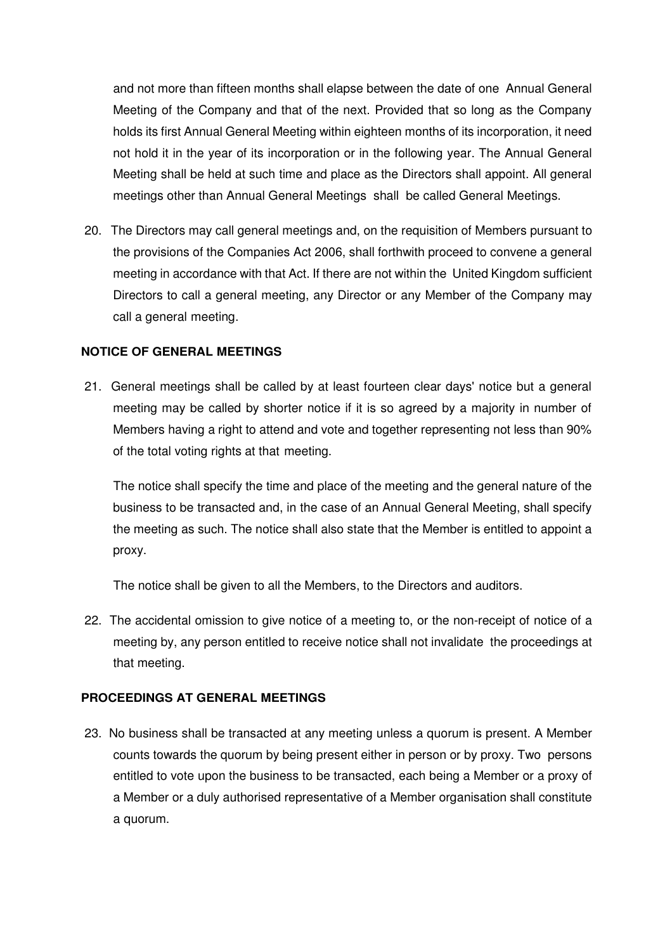and not more than fifteen months shall elapse between the date of one Annual General Meeting of the Company and that of the next. Provided that so long as the Company holds its first Annual General Meeting within eighteen months of its incorporation, it need not hold it in the year of its incorporation or in the following year. The Annual General Meeting shall be held at such time and place as the Directors shall appoint. All general meetings other than Annual General Meetings shall be called General Meetings.

20. The Directors may call general meetings and, on the requisition of Members pursuant to the provisions of the Companies Act 2006, shall forthwith proceed to convene a general meeting in accordance with that Act. If there are not within the United Kingdom sufficient Directors to call a general meeting, any Director or any Member of the Company may call a general meeting.

# **NOTICE OF GENERAL MEETINGS**

21. General meetings shall be called by at least fourteen clear days' notice but a general meeting may be called by shorter notice if it is so agreed by a majority in number of Members having a right to attend and vote and together representing not less than 90% of the total voting rights at that meeting.

The notice shall specify the time and place of the meeting and the general nature of the business to be transacted and, in the case of an Annual General Meeting, shall specify the meeting as such. The notice shall also state that the Member is entitled to appoint a proxy.

The notice shall be given to all the Members, to the Directors and auditors.

22. The accidental omission to give notice of a meeting to, or the non-receipt of notice of a meeting by, any person entitled to receive notice shall not invalidate the proceedings at that meeting.

## **PROCEEDINGS AT GENERAL MEETINGS**

23. No business shall be transacted at any meeting unless a quorum is present. A Member counts towards the quorum by being present either in person or by proxy. Two persons entitled to vote upon the business to be transacted, each being a Member or a proxy of a Member or a duly authorised representative of a Member organisation shall constitute a quorum.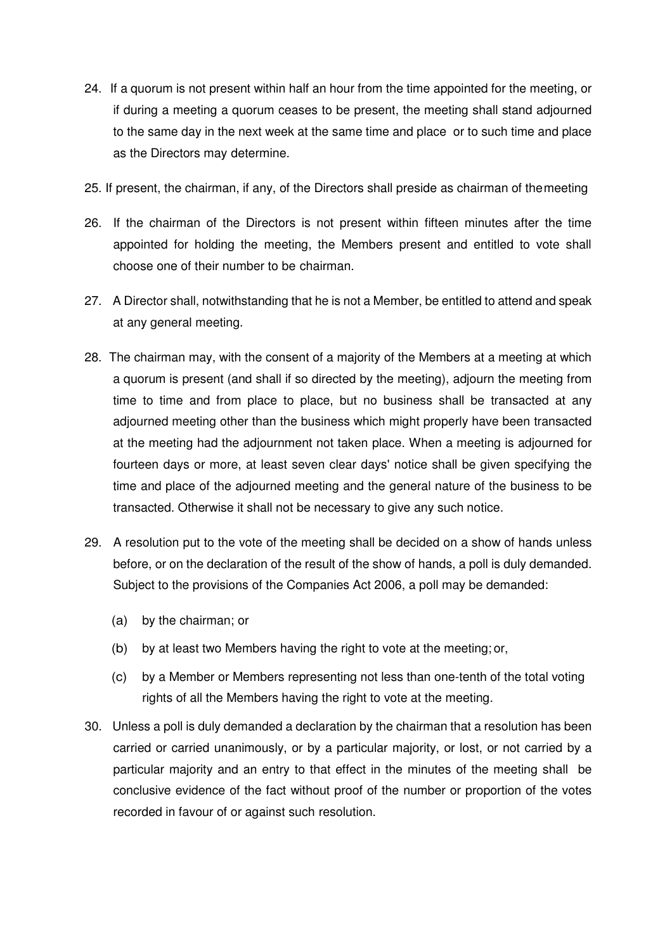- 24. If a quorum is not present within half an hour from the time appointed for the meeting, or if during a meeting a quorum ceases to be present, the meeting shall stand adjourned to the same day in the next week at the same time and place or to such time and place as the Directors may determine.
- 25. If present, the chairman, if any, of the Directors shall preside as chairman of the meeting
- 26. If the chairman of the Directors is not present within fifteen minutes after the time appointed for holding the meeting, the Members present and entitled to vote shall choose one of their number to be chairman.
- 27. A Director shall, notwithstanding that he is not a Member, be entitled to attend and speak at any general meeting.
- 28. The chairman may, with the consent of a majority of the Members at a meeting at which a quorum is present (and shall if so directed by the meeting), adjourn the meeting from time to time and from place to place, but no business shall be transacted at any adjourned meeting other than the business which might properly have been transacted at the meeting had the adjournment not taken place. When a meeting is adjourned for fourteen days or more, at least seven clear days' notice shall be given specifying the time and place of the adjourned meeting and the general nature of the business to be transacted. Otherwise it shall not be necessary to give any such notice.
- 29. A resolution put to the vote of the meeting shall be decided on a show of hands unless before, or on the declaration of the result of the show of hands, a poll is duly demanded. Subject to the provisions of the Companies Act 2006, a poll may be demanded:
	- (a) by the chairman; or
	- (b) by at least two Members having the right to vote at the meeting; or,
	- (c) by a Member or Members representing not less than one-tenth of the total voting rights of all the Members having the right to vote at the meeting.
- 30. Unless a poll is duly demanded a declaration by the chairman that a resolution has been carried or carried unanimously, or by a particular majority, or lost, or not carried by a particular majority and an entry to that effect in the minutes of the meeting shall be conclusive evidence of the fact without proof of the number or proportion of the votes recorded in favour of or against such resolution.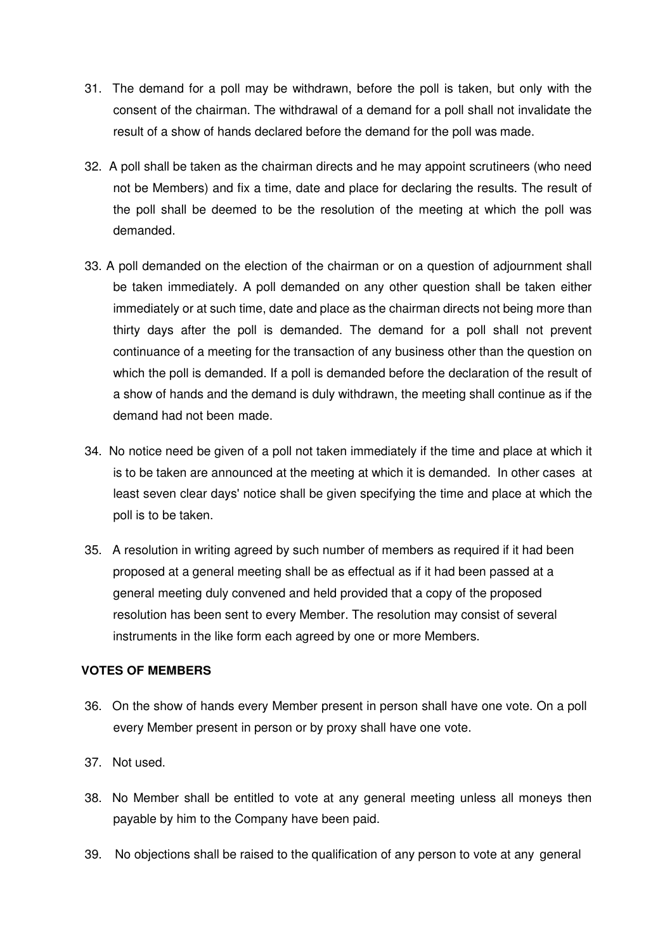- 31. The demand for a poll may be withdrawn, before the poll is taken, but only with the consent of the chairman. The withdrawal of a demand for a poll shall not invalidate the result of a show of hands declared before the demand for the poll was made.
- 32. A poll shall be taken as the chairman directs and he may appoint scrutineers (who need not be Members) and fix a time, date and place for declaring the results. The result of the poll shall be deemed to be the resolution of the meeting at which the poll was demanded.
- 33. A poll demanded on the election of the chairman or on a question of adjournment shall be taken immediately. A poll demanded on any other question shall be taken either immediately or at such time, date and place as the chairman directs not being more than thirty days after the poll is demanded. The demand for a poll shall not prevent continuance of a meeting for the transaction of any business other than the question on which the poll is demanded. If a poll is demanded before the declaration of the result of a show of hands and the demand is duly withdrawn, the meeting shall continue as if the demand had not been made.
- 34. No notice need be given of a poll not taken immediately if the time and place at which it is to be taken are announced at the meeting at which it is demanded. In other cases at least seven clear days' notice shall be given specifying the time and place at which the poll is to be taken.
- 35. A resolution in writing agreed by such number of members as required if it had been proposed at a general meeting shall be as effectual as if it had been passed at a general meeting duly convened and held provided that a copy of the proposed resolution has been sent to every Member. The resolution may consist of several instruments in the like form each agreed by one or more Members.

## **VOTES OF MEMBERS**

- 36. On the show of hands every Member present in person shall have one vote. On a poll every Member present in person or by proxy shall have one vote.
- 37. Not used.
- 38. No Member shall be entitled to vote at any general meeting unless all moneys then payable by him to the Company have been paid.
- 39. No objections shall be raised to the qualification of any person to vote at any general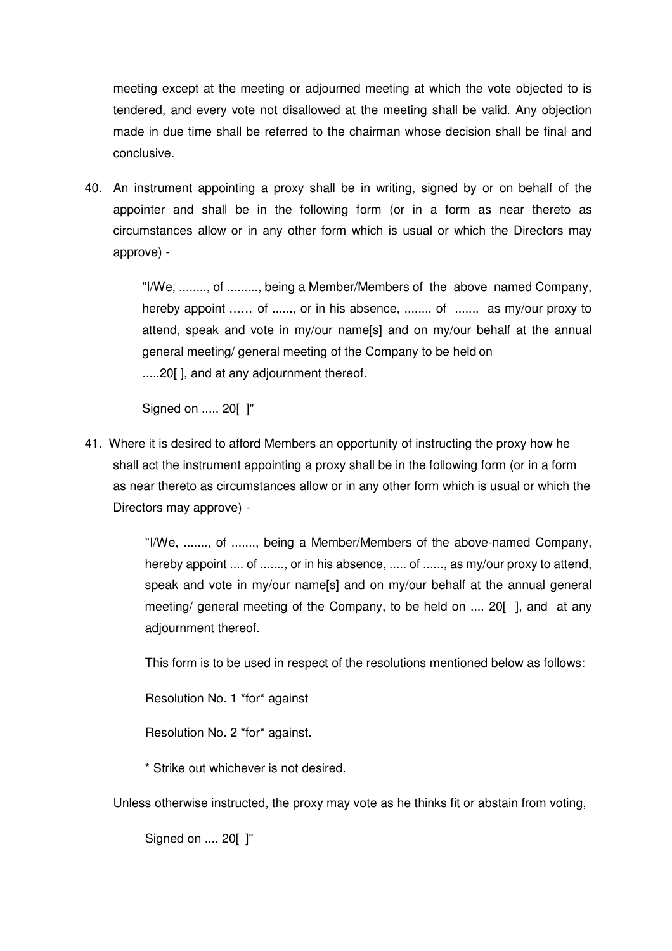meeting except at the meeting or adjourned meeting at which the vote objected to is tendered, and every vote not disallowed at the meeting shall be valid. Any objection made in due time shall be referred to the chairman whose decision shall be final and conclusive.

40. An instrument appointing a proxy shall be in writing, signed by or on behalf of the appointer and shall be in the following form (or in a form as near thereto as circumstances allow or in any other form which is usual or which the Directors may approve) -

> "I/We, ........, of ........., being a Member/Members of the above named Company, hereby appoint ...... of ......, or in his absence, ........ of ....... as my/our proxy to attend, speak and vote in my/our name[s] and on my/our behalf at the annual general meeting/ general meeting of the Company to be held on .....20[ ], and at any adjournment thereof.

Signed on ..... 20[ ]"

41. Where it is desired to afford Members an opportunity of instructing the proxy how he shall act the instrument appointing a proxy shall be in the following form (or in a form as near thereto as circumstances allow or in any other form which is usual or which the Directors may approve) -

> "I/We, ......., of ......., being a Member/Members of the above-named Company, hereby appoint .... of ......., or in his absence, ..... of ......, as my/our proxy to attend, speak and vote in my/our name[s] and on my/our behalf at the annual general meeting/ general meeting of the Company, to be held on .... 20[ ], and at any adjournment thereof.

This form is to be used in respect of the resolutions mentioned below as follows:

Resolution No. 1 \*for\* against

Resolution No. 2 \*for\* against.

\* Strike out whichever is not desired.

Unless otherwise instructed, the proxy may vote as he thinks fit or abstain from voting,

Signed on .... 20[ ]"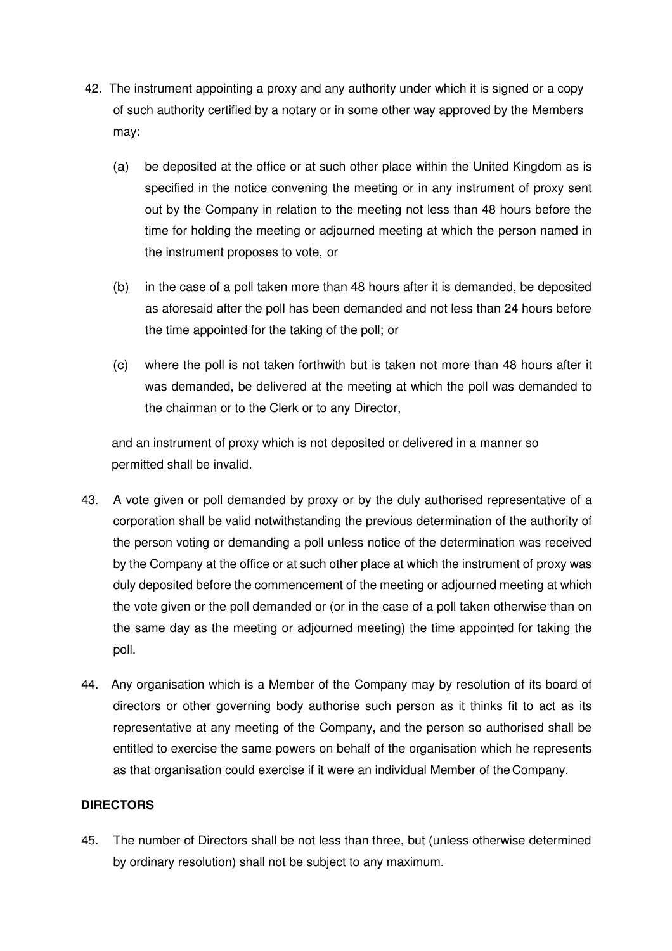- 42. The instrument appointing a proxy and any authority under which it is signed or a copy of such authority certified by a notary or in some other way approved by the Members may:
	- (a) be deposited at the office or at such other place within the United Kingdom as is specified in the notice convening the meeting or in any instrument of proxy sent out by the Company in relation to the meeting not less than 48 hours before the time for holding the meeting or adjourned meeting at which the person named in the instrument proposes to vote, or
	- (b) in the case of a poll taken more than 48 hours after it is demanded, be deposited as aforesaid after the poll has been demanded and not less than 24 hours before the time appointed for the taking of the poll; or
	- (c) where the poll is not taken forthwith but is taken not more than 48 hours after it was demanded, be delivered at the meeting at which the poll was demanded to the chairman or to the Clerk or to any Director,

and an instrument of proxy which is not deposited or delivered in a manner so permitted shall be invalid.

- 43. A vote given or poll demanded by proxy or by the duly authorised representative of a corporation shall be valid notwithstanding the previous determination of the authority of the person voting or demanding a poll unless notice of the determination was received by the Company at the office or at such other place at which the instrument of proxy was duly deposited before the commencement of the meeting or adjourned meeting at which the vote given or the poll demanded or (or in the case of a poll taken otherwise than on the same day as the meeting or adjourned meeting) the time appointed for taking the poll.
- 44. Any organisation which is a Member of the Company may by resolution of its board of directors or other governing body authorise such person as it thinks fit to act as its representative at any meeting of the Company, and the person so authorised shall be entitled to exercise the same powers on behalf of the organisation which he represents as that organisation could exercise if it were an individual Member of the Company.

# **DIRECTORS**

45. The number of Directors shall be not less than three, but (unless otherwise determined by ordinary resolution) shall not be subject to any maximum.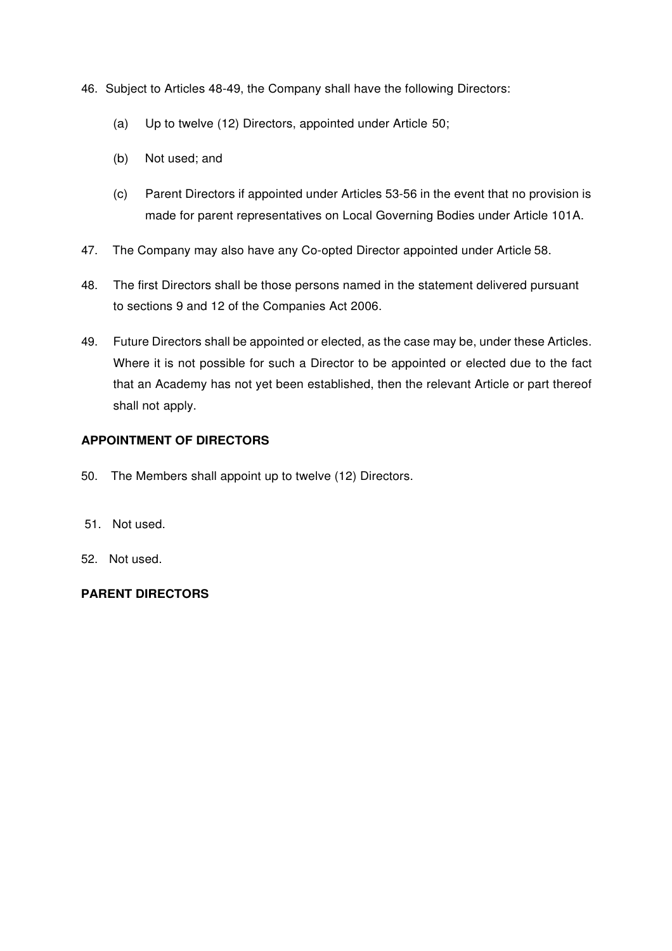- 46. Subject to Articles 48-49, the Company shall have the following Directors:
	- (a) Up to twelve (12) Directors, appointed under Article 50;
	- (b) Not used; and
	- (c) Parent Directors if appointed under Articles 53-56 in the event that no provision is made for parent representatives on Local Governing Bodies under Article 101A.
- 47. The Company may also have any Co-opted Director appointed under Article 58.
- 48. The first Directors shall be those persons named in the statement delivered pursuant to sections 9 and 12 of the Companies Act 2006.
- 49. Future Directors shall be appointed or elected, as the case may be, under these Articles. Where it is not possible for such a Director to be appointed or elected due to the fact that an Academy has not yet been established, then the relevant Article or part thereof shall not apply.

# **APPOINTMENT OF DIRECTORS**

- 50. The Members shall appoint up to twelve (12) Directors.
- 51. Not used.
- 52. Not used.

# **PARENT DIRECTORS**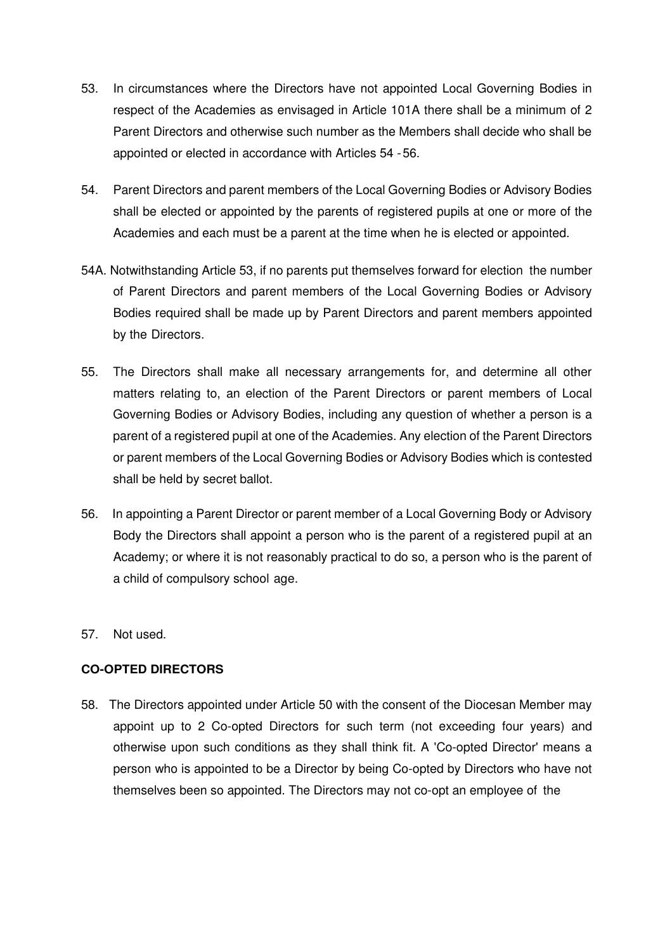- 53. In circumstances where the Directors have not appointed Local Governing Bodies in respect of the Academies as envisaged in Article 101A there shall be a minimum of 2 Parent Directors and otherwise such number as the Members shall decide who shall be appointed or elected in accordance with Articles 54 - 56.
- 54. Parent Directors and parent members of the Local Governing Bodies or Advisory Bodies shall be elected or appointed by the parents of registered pupils at one or more of the Academies and each must be a parent at the time when he is elected or appointed.
- 54A. Notwithstanding Article 53, if no parents put themselves forward for election the number of Parent Directors and parent members of the Local Governing Bodies or Advisory Bodies required shall be made up by Parent Directors and parent members appointed by the Directors.
- 55. The Directors shall make all necessary arrangements for, and determine all other matters relating to, an election of the Parent Directors or parent members of Local Governing Bodies or Advisory Bodies, including any question of whether a person is a parent of a registered pupil at one of the Academies. Any election of the Parent Directors or parent members of the Local Governing Bodies or Advisory Bodies which is contested shall be held by secret ballot.
- 56. In appointing a Parent Director or parent member of a Local Governing Body or Advisory Body the Directors shall appoint a person who is the parent of a registered pupil at an Academy; or where it is not reasonably practical to do so, a person who is the parent of a child of compulsory school age.
- 57. Not used.

# **CO-OPTED DIRECTORS**

58. The Directors appointed under Article 50 with the consent of the Diocesan Member may appoint up to 2 Co-opted Directors for such term (not exceeding four years) and otherwise upon such conditions as they shall think fit. A 'Co-opted Director' means a person who is appointed to be a Director by being Co-opted by Directors who have not themselves been so appointed. The Directors may not co-opt an employee of the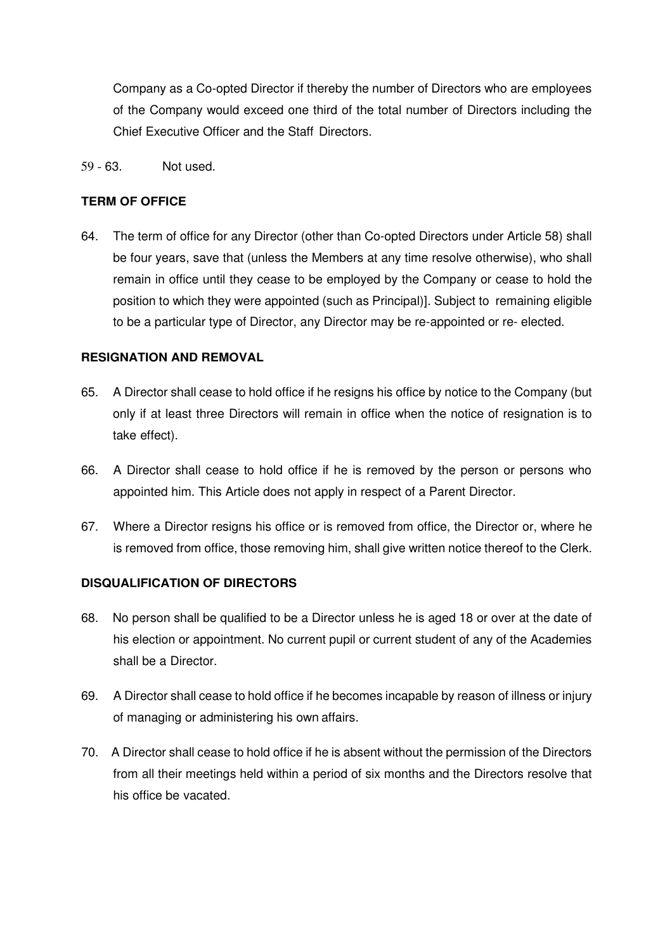Company as a Co-opted Director if thereby the number of Directors who are employees of the Company would exceed one third of the total number of Directors including the Chief Executive Officer and the Staff Directors.

59 - 63. Not used.

## **TERM OF OFFICE**

64. The term of office for any Director (other than Co-opted Directors under Article 58) shall be four years, save that (unless the Members at any time resolve otherwise), who shall remain in office until they cease to be employed by the Company or cease to hold the position to which they were appointed (such as Principal)]. Subject to remaining eligible to be a particular type of Director, any Director may be re-appointed or re- elected.

## **RESIGNATION AND REMOVAL**

- 65. A Director shall cease to hold office if he resigns his office by notice to the Company (but only if at least three Directors will remain in office when the notice of resignation is to take effect).
- 66. A Director shall cease to hold office if he is removed by the person or persons who appointed him. This Article does not apply in respect of a Parent Director.
- 67. Where a Director resigns his office or is removed from office, the Director or, where he is removed from office, those removing him, shall give written notice thereof to the Clerk.

## **DISQUALIFICATION OF DIRECTORS**

- 68. No person shall be qualified to be a Director unless he is aged 18 or over at the date of his election or appointment. No current pupil or current student of any of the Academies shall be a Director.
- 69. A Director shall cease to hold office if he becomes incapable by reason of illness or injury of managing or administering his own affairs.
- 70. A Director shall cease to hold office if he is absent without the permission of the Directors from all their meetings held within a period of six months and the Directors resolve that his office be vacated.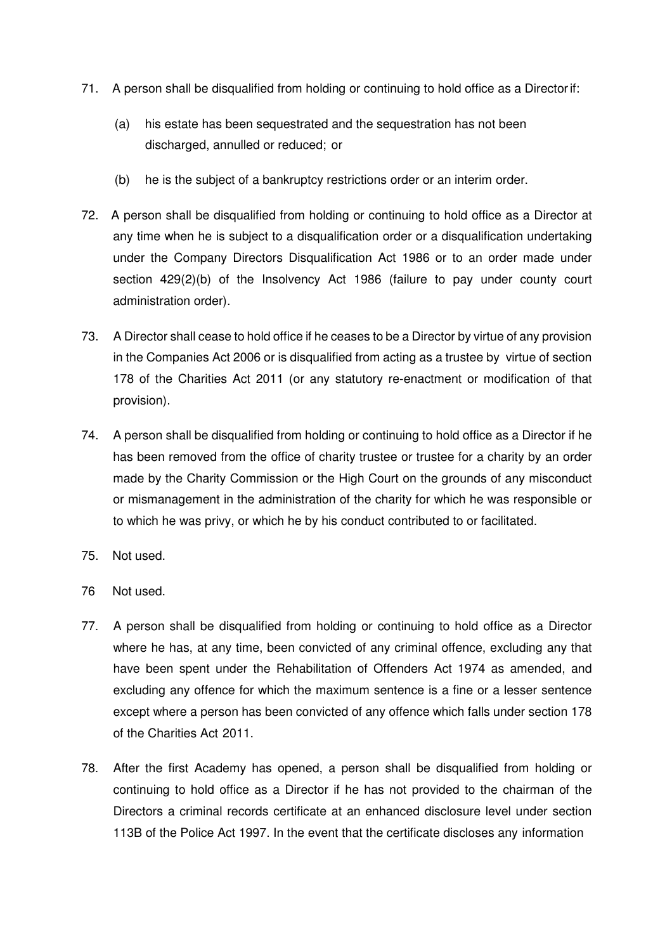- 71. A person shall be disqualified from holding or continuing to hold office as a Director if:
	- (a) his estate has been sequestrated and the sequestration has not been discharged, annulled or reduced; or
	- (b) he is the subject of a bankruptcy restrictions order or an interim order.
- 72. A person shall be disqualified from holding or continuing to hold office as a Director at any time when he is subject to a disqualification order or a disqualification undertaking under the Company Directors Disqualification Act 1986 or to an order made under section 429(2)(b) of the Insolvency Act 1986 (failure to pay under county court administration order).
- 73. A Director shall cease to hold office if he ceases to be a Director by virtue of any provision in the Companies Act 2006 or is disqualified from acting as a trustee by virtue of section 178 of the Charities Act 2011 (or any statutory re-enactment or modification of that provision).
- 74. A person shall be disqualified from holding or continuing to hold office as a Director if he has been removed from the office of charity trustee or trustee for a charity by an order made by the Charity Commission or the High Court on the grounds of any misconduct or mismanagement in the administration of the charity for which he was responsible or to which he was privy, or which he by his conduct contributed to or facilitated.
- 75. Not used.
- 76 Not used.
- 77. A person shall be disqualified from holding or continuing to hold office as a Director where he has, at any time, been convicted of any criminal offence, excluding any that have been spent under the Rehabilitation of Offenders Act 1974 as amended, and excluding any offence for which the maximum sentence is a fine or a lesser sentence except where a person has been convicted of any offence which falls under section 178 of the Charities Act 2011.
- 78. After the first Academy has opened, a person shall be disqualified from holding or continuing to hold office as a Director if he has not provided to the chairman of the Directors a criminal records certificate at an enhanced disclosure level under section 113B of the Police Act 1997. In the event that the certificate discloses any information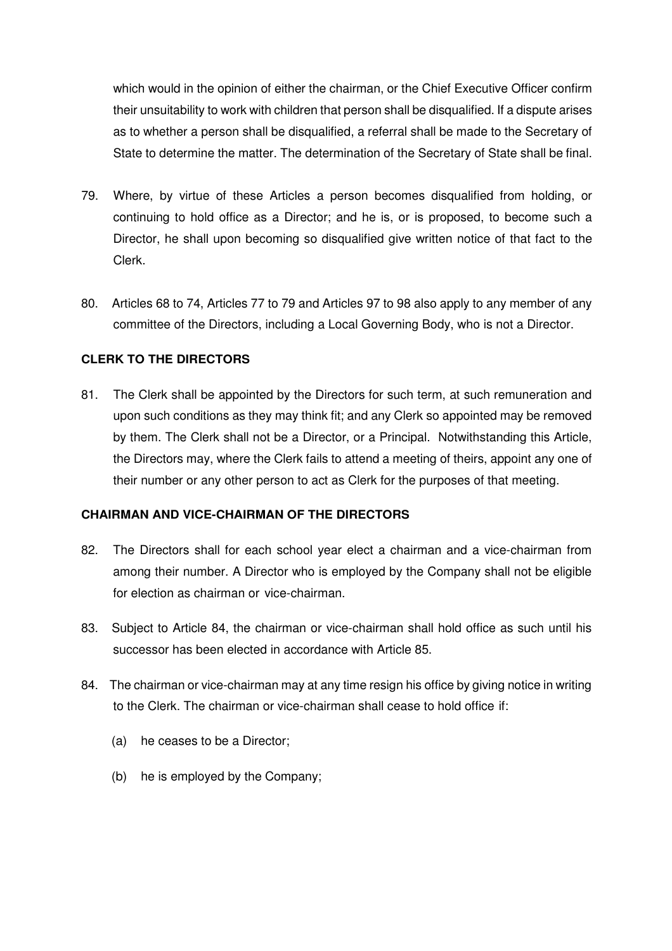which would in the opinion of either the chairman, or the Chief Executive Officer confirm their unsuitability to work with children that person shall be disqualified. If a dispute arises as to whether a person shall be disqualified, a referral shall be made to the Secretary of State to determine the matter. The determination of the Secretary of State shall be final.

- 79. Where, by virtue of these Articles a person becomes disqualified from holding, or continuing to hold office as a Director; and he is, or is proposed, to become such a Director, he shall upon becoming so disqualified give written notice of that fact to the Clerk.
- 80. Articles 68 to 74, Articles 77 to 79 and Articles 97 to 98 also apply to any member of any committee of the Directors, including a Local Governing Body, who is not a Director.

# **CLERK TO THE DIRECTORS**

81. The Clerk shall be appointed by the Directors for such term, at such remuneration and upon such conditions as they may think fit; and any Clerk so appointed may be removed by them. The Clerk shall not be a Director, or a Principal. Notwithstanding this Article, the Directors may, where the Clerk fails to attend a meeting of theirs, appoint any one of their number or any other person to act as Clerk for the purposes of that meeting.

## **CHAIRMAN AND VICE-CHAIRMAN OF THE DIRECTORS**

- 82. The Directors shall for each school year elect a chairman and a vice-chairman from among their number. A Director who is employed by the Company shall not be eligible for election as chairman or vice-chairman.
- 83. Subject to Article 84, the chairman or vice-chairman shall hold office as such until his successor has been elected in accordance with Article 85.
- 84. The chairman or vice-chairman may at any time resign his office by giving notice in writing to the Clerk. The chairman or vice-chairman shall cease to hold office if:
	- (a) he ceases to be a Director;
	- (b) he is employed by the Company;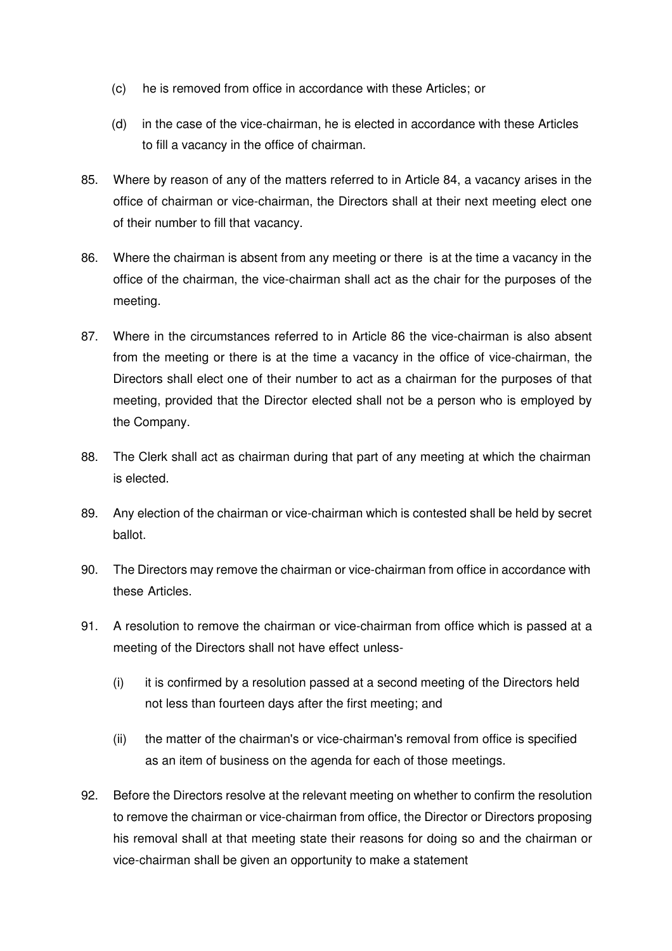- (c) he is removed from office in accordance with these Articles; or
- (d) in the case of the vice-chairman, he is elected in accordance with these Articles to fill a vacancy in the office of chairman.
- 85. Where by reason of any of the matters referred to in Article 84, a vacancy arises in the office of chairman or vice-chairman, the Directors shall at their next meeting elect one of their number to fill that vacancy.
- 86. Where the chairman is absent from any meeting or there is at the time a vacancy in the office of the chairman, the vice-chairman shall act as the chair for the purposes of the meeting.
- 87. Where in the circumstances referred to in Article 86 the vice-chairman is also absent from the meeting or there is at the time a vacancy in the office of vice-chairman, the Directors shall elect one of their number to act as a chairman for the purposes of that meeting, provided that the Director elected shall not be a person who is employed by the Company.
- 88. The Clerk shall act as chairman during that part of any meeting at which the chairman is elected.
- 89. Any election of the chairman or vice-chairman which is contested shall be held by secret ballot.
- 90. The Directors may remove the chairman or vice-chairman from office in accordance with these Articles.
- 91. A resolution to remove the chairman or vice-chairman from office which is passed at a meeting of the Directors shall not have effect unless-
	- (i) it is confirmed by a resolution passed at a second meeting of the Directors held not less than fourteen days after the first meeting; and
	- (ii) the matter of the chairman's or vice-chairman's removal from office is specified as an item of business on the agenda for each of those meetings.
- 92. Before the Directors resolve at the relevant meeting on whether to confirm the resolution to remove the chairman or vice-chairman from office, the Director or Directors proposing his removal shall at that meeting state their reasons for doing so and the chairman or vice-chairman shall be given an opportunity to make a statement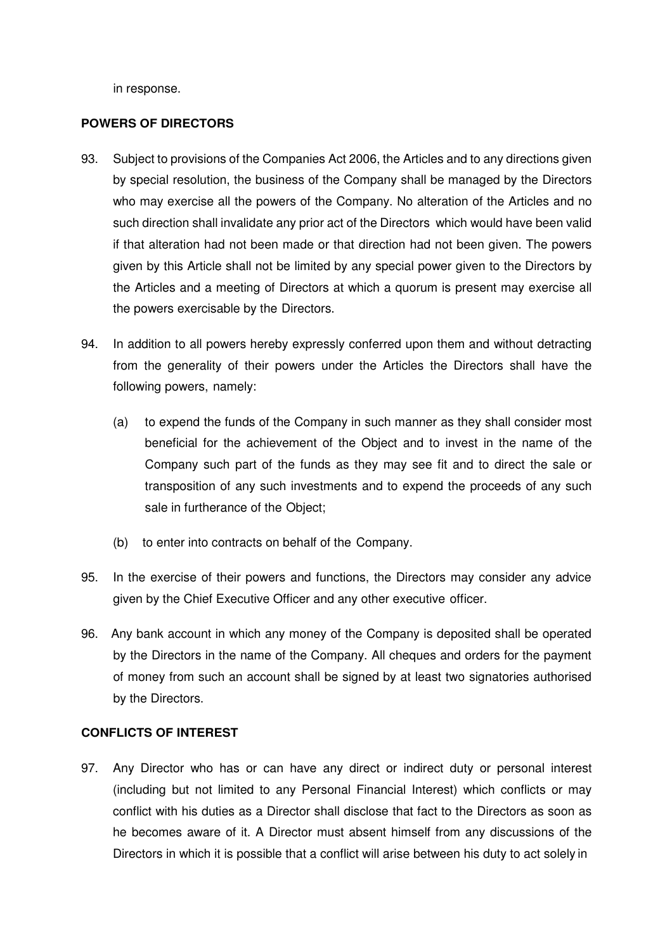in response.

#### **POWERS OF DIRECTORS**

- 93. Subject to provisions of the Companies Act 2006, the Articles and to any directions given by special resolution, the business of the Company shall be managed by the Directors who may exercise all the powers of the Company. No alteration of the Articles and no such direction shall invalidate any prior act of the Directors which would have been valid if that alteration had not been made or that direction had not been given. The powers given by this Article shall not be limited by any special power given to the Directors by the Articles and a meeting of Directors at which a quorum is present may exercise all the powers exercisable by the Directors.
- 94. In addition to all powers hereby expressly conferred upon them and without detracting from the generality of their powers under the Articles the Directors shall have the following powers, namely:
	- (a) to expend the funds of the Company in such manner as they shall consider most beneficial for the achievement of the Object and to invest in the name of the Company such part of the funds as they may see fit and to direct the sale or transposition of any such investments and to expend the proceeds of any such sale in furtherance of the Object;
	- (b) to enter into contracts on behalf of the Company.
- 95. In the exercise of their powers and functions, the Directors may consider any advice given by the Chief Executive Officer and any other executive officer.
- 96. Any bank account in which any money of the Company is deposited shall be operated by the Directors in the name of the Company. All cheques and orders for the payment of money from such an account shall be signed by at least two signatories authorised by the Directors.

## **CONFLICTS OF INTEREST**

97. Any Director who has or can have any direct or indirect duty or personal interest (including but not limited to any Personal Financial Interest) which conflicts or may conflict with his duties as a Director shall disclose that fact to the Directors as soon as he becomes aware of it. A Director must absent himself from any discussions of the Directors in which it is possible that a conflict will arise between his duty to act solely in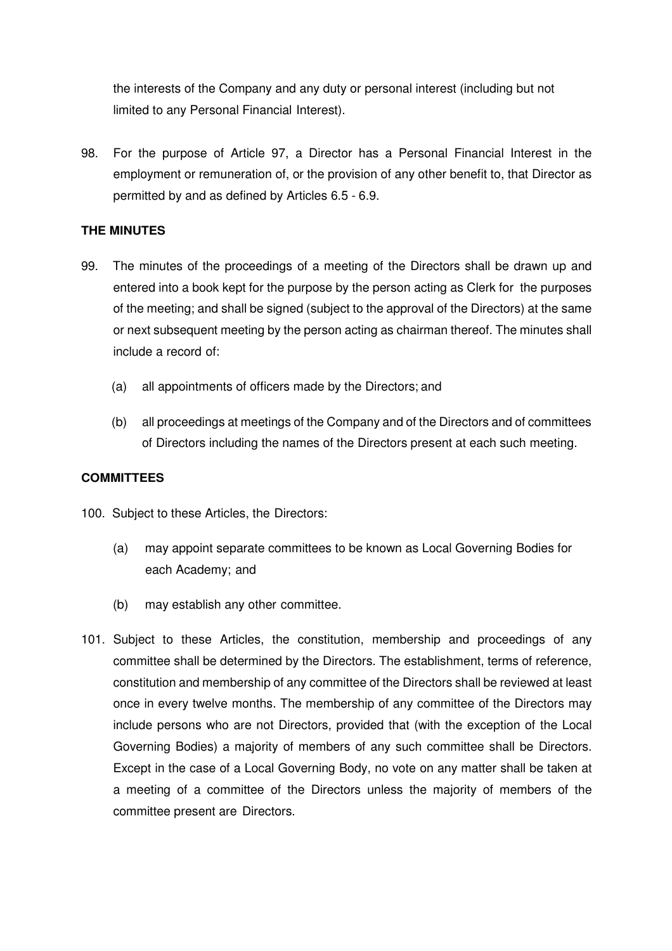the interests of the Company and any duty or personal interest (including but not limited to any Personal Financial Interest).

98. For the purpose of Article 97, a Director has a Personal Financial Interest in the employment or remuneration of, or the provision of any other benefit to, that Director as permitted by and as defined by Articles 6.5 - 6.9.

# **THE MINUTES**

- 99. The minutes of the proceedings of a meeting of the Directors shall be drawn up and entered into a book kept for the purpose by the person acting as Clerk for the purposes of the meeting; and shall be signed (subject to the approval of the Directors) at the same or next subsequent meeting by the person acting as chairman thereof. The minutes shall include a record of:
	- (a) all appointments of officers made by the Directors; and
	- (b) all proceedings at meetings of the Company and of the Directors and of committees of Directors including the names of the Directors present at each such meeting.

## **COMMITTEES**

100. Subject to these Articles, the Directors:

- (a) may appoint separate committees to be known as Local Governing Bodies for each Academy; and
- (b) may establish any other committee.
- 101. Subject to these Articles, the constitution, membership and proceedings of any committee shall be determined by the Directors. The establishment, terms of reference, constitution and membership of any committee of the Directors shall be reviewed at least once in every twelve months. The membership of any committee of the Directors may include persons who are not Directors, provided that (with the exception of the Local Governing Bodies) a majority of members of any such committee shall be Directors. Except in the case of a Local Governing Body, no vote on any matter shall be taken at a meeting of a committee of the Directors unless the majority of members of the committee present are Directors.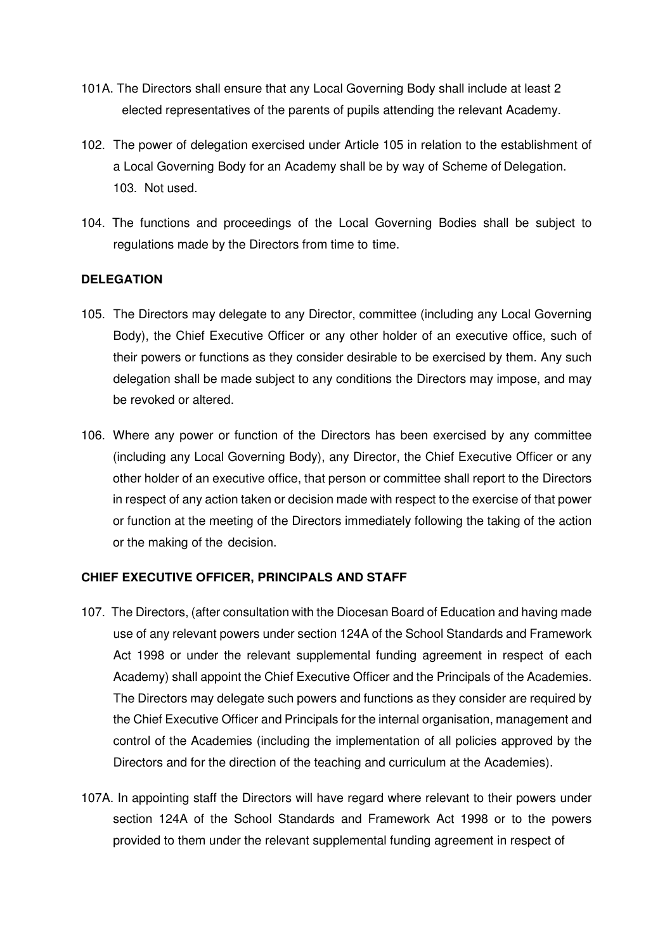- 101A. The Directors shall ensure that any Local Governing Body shall include at least 2 elected representatives of the parents of pupils attending the relevant Academy.
- 102. The power of delegation exercised under Article 105 in relation to the establishment of a Local Governing Body for an Academy shall be by way of Scheme of Delegation. 103. Not used.
- 104. The functions and proceedings of the Local Governing Bodies shall be subject to regulations made by the Directors from time to time.

## **DELEGATION**

- 105. The Directors may delegate to any Director, committee (including any Local Governing Body), the Chief Executive Officer or any other holder of an executive office, such of their powers or functions as they consider desirable to be exercised by them. Any such delegation shall be made subject to any conditions the Directors may impose, and may be revoked or altered.
- 106. Where any power or function of the Directors has been exercised by any committee (including any Local Governing Body), any Director, the Chief Executive Officer or any other holder of an executive office, that person or committee shall report to the Directors in respect of any action taken or decision made with respect to the exercise of that power or function at the meeting of the Directors immediately following the taking of the action or the making of the decision.

## **CHIEF EXECUTIVE OFFICER, PRINCIPALS AND STAFF**

- 107. The Directors, (after consultation with the Diocesan Board of Education and having made use of any relevant powers under section 124A of the School Standards and Framework Act 1998 or under the relevant supplemental funding agreement in respect of each Academy) shall appoint the Chief Executive Officer and the Principals of the Academies. The Directors may delegate such powers and functions as they consider are required by the Chief Executive Officer and Principals for the internal organisation, management and control of the Academies (including the implementation of all policies approved by the Directors and for the direction of the teaching and curriculum at the Academies).
- 107A. In appointing staff the Directors will have regard where relevant to their powers under section 124A of the School Standards and Framework Act 1998 or to the powers provided to them under the relevant supplemental funding agreement in respect of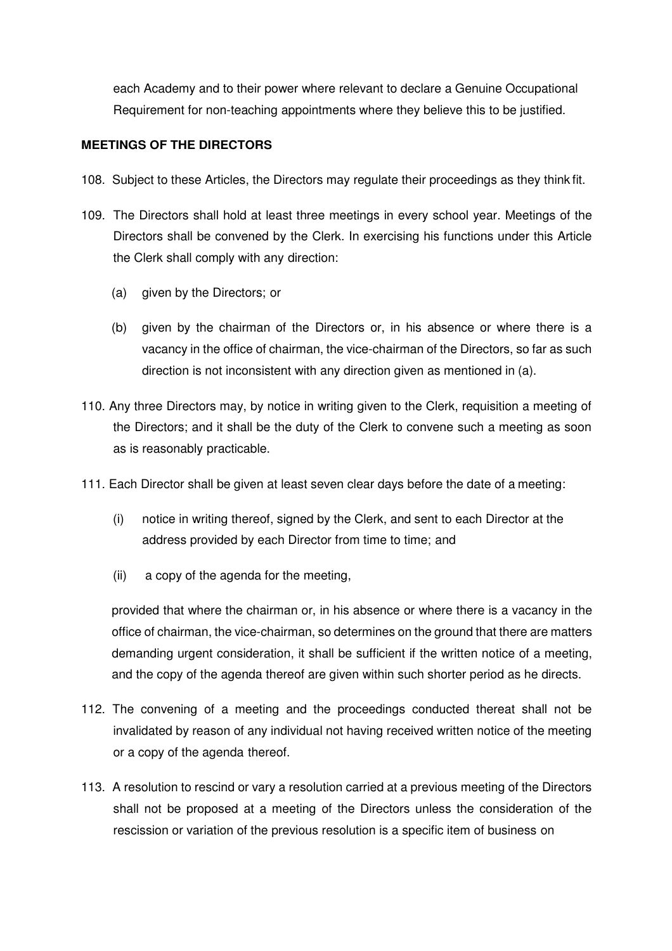each Academy and to their power where relevant to declare a Genuine Occupational Requirement for non-teaching appointments where they believe this to be justified.

# **MEETINGS OF THE DIRECTORS**

- 108. Subject to these Articles, the Directors may regulate their proceedings as they think fit.
- 109. The Directors shall hold at least three meetings in every school year. Meetings of the Directors shall be convened by the Clerk. In exercising his functions under this Article the Clerk shall comply with any direction:
	- (a) given by the Directors; or
	- (b) given by the chairman of the Directors or, in his absence or where there is a vacancy in the office of chairman, the vice-chairman of the Directors, so far as such direction is not inconsistent with any direction given as mentioned in (a).
- 110. Any three Directors may, by notice in writing given to the Clerk, requisition a meeting of the Directors; and it shall be the duty of the Clerk to convene such a meeting as soon as is reasonably practicable.
- 111. Each Director shall be given at least seven clear days before the date of a meeting:
	- (i) notice in writing thereof, signed by the Clerk, and sent to each Director at the address provided by each Director from time to time; and
	- (ii) a copy of the agenda for the meeting,

provided that where the chairman or, in his absence or where there is a vacancy in the office of chairman, the vice-chairman, so determines on the ground that there are matters demanding urgent consideration, it shall be sufficient if the written notice of a meeting, and the copy of the agenda thereof are given within such shorter period as he directs.

- 112. The convening of a meeting and the proceedings conducted thereat shall not be invalidated by reason of any individual not having received written notice of the meeting or a copy of the agenda thereof.
- 113. A resolution to rescind or vary a resolution carried at a previous meeting of the Directors shall not be proposed at a meeting of the Directors unless the consideration of the rescission or variation of the previous resolution is a specific item of business on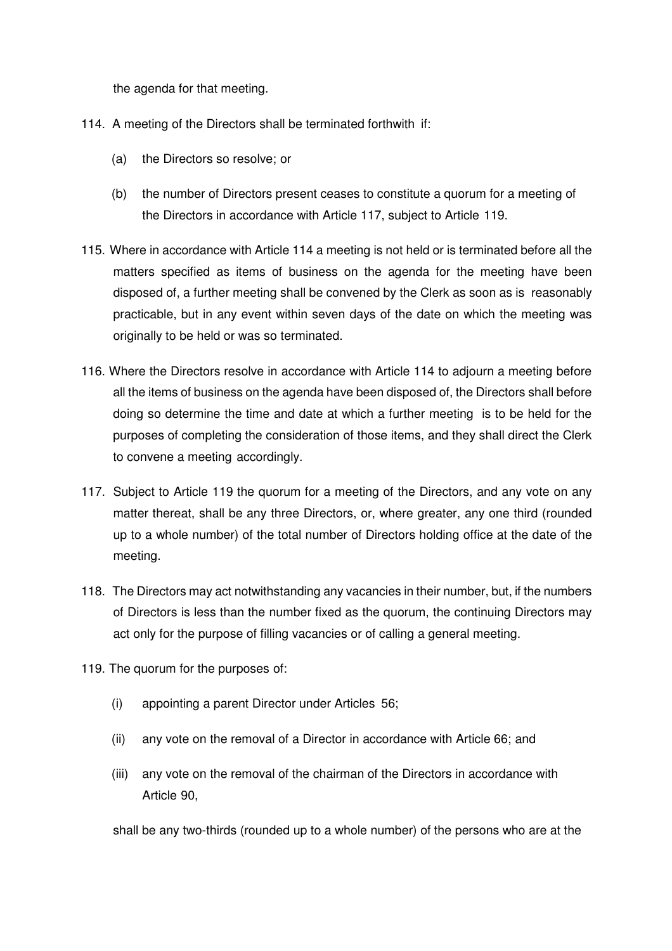the agenda for that meeting.

- 114. A meeting of the Directors shall be terminated forthwith if:
	- (a) the Directors so resolve; or
	- (b) the number of Directors present ceases to constitute a quorum for a meeting of the Directors in accordance with Article 117, subject to Article 119.
- 115. Where in accordance with Article 114 a meeting is not held or is terminated before all the matters specified as items of business on the agenda for the meeting have been disposed of, a further meeting shall be convened by the Clerk as soon as is reasonably practicable, but in any event within seven days of the date on which the meeting was originally to be held or was so terminated.
- 116. Where the Directors resolve in accordance with Article 114 to adjourn a meeting before all the items of business on the agenda have been disposed of, the Directors shall before doing so determine the time and date at which a further meeting is to be held for the purposes of completing the consideration of those items, and they shall direct the Clerk to convene a meeting accordingly.
- 117. Subject to Article 119 the quorum for a meeting of the Directors, and any vote on any matter thereat, shall be any three Directors, or, where greater, any one third (rounded up to a whole number) of the total number of Directors holding office at the date of the meeting.
- 118. The Directors may act notwithstanding any vacancies in their number, but, if the numbers of Directors is less than the number fixed as the quorum, the continuing Directors may act only for the purpose of filling vacancies or of calling a general meeting.
- 119. The quorum for the purposes of:
	- (i) appointing a parent Director under Articles 56;
	- (ii) any vote on the removal of a Director in accordance with Article 66; and
	- (iii) any vote on the removal of the chairman of the Directors in accordance with Article 90,

shall be any two-thirds (rounded up to a whole number) of the persons who are at the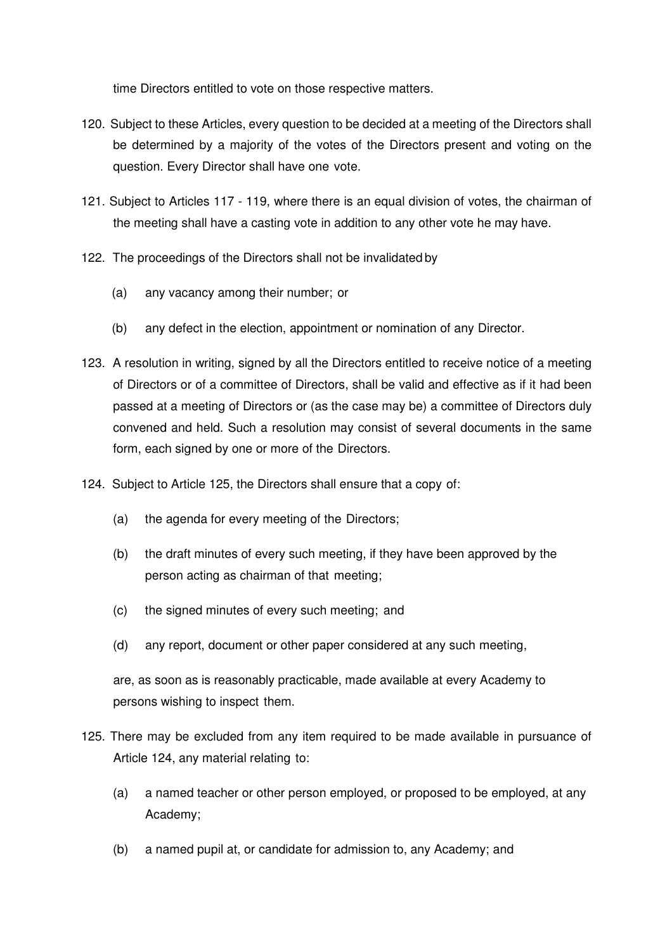time Directors entitled to vote on those respective matters.

- 120. Subject to these Articles, every question to be decided at a meeting of the Directors shall be determined by a majority of the votes of the Directors present and voting on the question. Every Director shall have one vote.
- 121. Subject to Articles 117 119, where there is an equal division of votes, the chairman of the meeting shall have a casting vote in addition to any other vote he may have.
- 122. The proceedings of the Directors shall not be invalidated by
	- (a) any vacancy among their number; or
	- (b) any defect in the election, appointment or nomination of any Director.
- 123. A resolution in writing, signed by all the Directors entitled to receive notice of a meeting of Directors or of a committee of Directors, shall be valid and effective as if it had been passed at a meeting of Directors or (as the case may be) a committee of Directors duly convened and held. Such a resolution may consist of several documents in the same form, each signed by one or more of the Directors.
- 124. Subject to Article 125, the Directors shall ensure that a copy of:
	- (a) the agenda for every meeting of the Directors;
	- (b) the draft minutes of every such meeting, if they have been approved by the person acting as chairman of that meeting;
	- (c) the signed minutes of every such meeting; and
	- (d) any report, document or other paper considered at any such meeting,

are, as soon as is reasonably practicable, made available at every Academy to persons wishing to inspect them.

- 125. There may be excluded from any item required to be made available in pursuance of Article 124, any material relating to:
	- (a) a named teacher or other person employed, or proposed to be employed, at any Academy;
	- (b) a named pupil at, or candidate for admission to, any Academy; and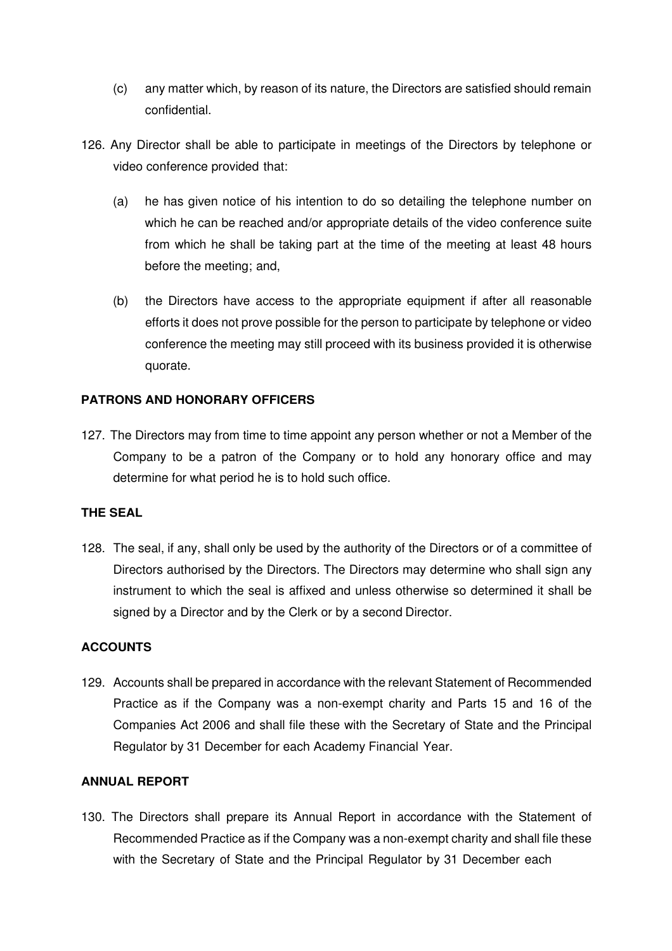- (c) any matter which, by reason of its nature, the Directors are satisfied should remain confidential.
- 126. Any Director shall be able to participate in meetings of the Directors by telephone or video conference provided that:
	- (a) he has given notice of his intention to do so detailing the telephone number on which he can be reached and/or appropriate details of the video conference suite from which he shall be taking part at the time of the meeting at least 48 hours before the meeting; and,
	- (b) the Directors have access to the appropriate equipment if after all reasonable efforts it does not prove possible for the person to participate by telephone or video conference the meeting may still proceed with its business provided it is otherwise quorate.

# **PATRONS AND HONORARY OFFICERS**

127. The Directors may from time to time appoint any person whether or not a Member of the Company to be a patron of the Company or to hold any honorary office and may determine for what period he is to hold such office.

## **THE SEAL**

128. The seal, if any, shall only be used by the authority of the Directors or of a committee of Directors authorised by the Directors. The Directors may determine who shall sign any instrument to which the seal is affixed and unless otherwise so determined it shall be signed by a Director and by the Clerk or by a second Director.

## **ACCOUNTS**

129. Accounts shall be prepared in accordance with the relevant Statement of Recommended Practice as if the Company was a non-exempt charity and Parts 15 and 16 of the Companies Act 2006 and shall file these with the Secretary of State and the Principal Regulator by 31 December for each Academy Financial Year.

## **ANNUAL REPORT**

130. The Directors shall prepare its Annual Report in accordance with the Statement of Recommended Practice as if the Company was a non-exempt charity and shall file these with the Secretary of State and the Principal Regulator by 31 December each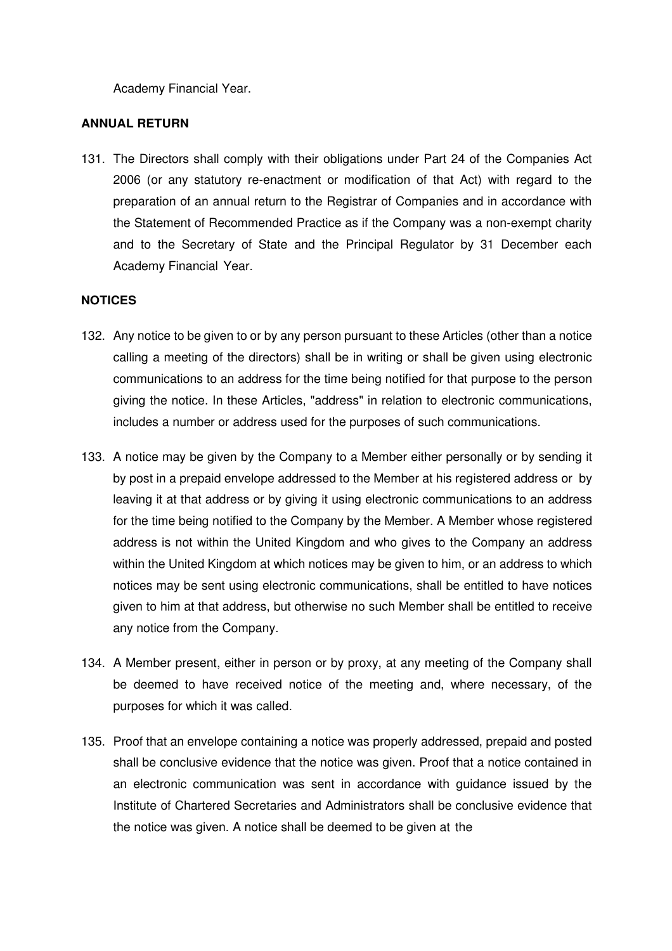Academy Financial Year.

#### **ANNUAL RETURN**

131. The Directors shall comply with their obligations under Part 24 of the Companies Act 2006 (or any statutory re-enactment or modification of that Act) with regard to the preparation of an annual return to the Registrar of Companies and in accordance with the Statement of Recommended Practice as if the Company was a non-exempt charity and to the Secretary of State and the Principal Regulator by 31 December each Academy Financial Year.

## **NOTICES**

- 132. Any notice to be given to or by any person pursuant to these Articles (other than a notice calling a meeting of the directors) shall be in writing or shall be given using electronic communications to an address for the time being notified for that purpose to the person giving the notice. In these Articles, "address" in relation to electronic communications, includes a number or address used for the purposes of such communications.
- 133. A notice may be given by the Company to a Member either personally or by sending it by post in a prepaid envelope addressed to the Member at his registered address or by leaving it at that address or by giving it using electronic communications to an address for the time being notified to the Company by the Member. A Member whose registered address is not within the United Kingdom and who gives to the Company an address within the United Kingdom at which notices may be given to him, or an address to which notices may be sent using electronic communications, shall be entitled to have notices given to him at that address, but otherwise no such Member shall be entitled to receive any notice from the Company.
- 134. A Member present, either in person or by proxy, at any meeting of the Company shall be deemed to have received notice of the meeting and, where necessary, of the purposes for which it was called.
- 135. Proof that an envelope containing a notice was properly addressed, prepaid and posted shall be conclusive evidence that the notice was given. Proof that a notice contained in an electronic communication was sent in accordance with guidance issued by the Institute of Chartered Secretaries and Administrators shall be conclusive evidence that the notice was given. A notice shall be deemed to be given at the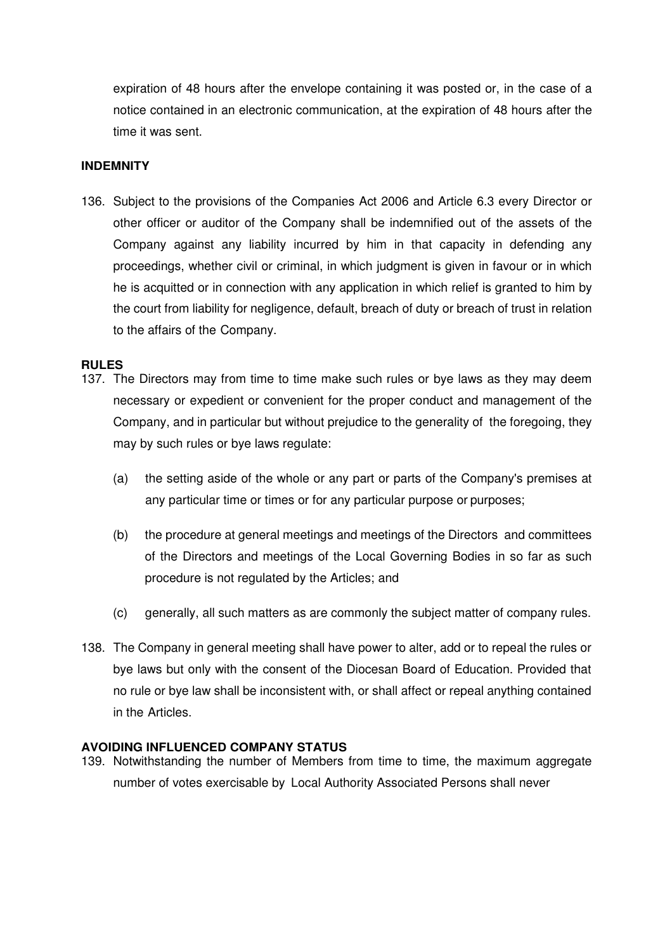expiration of 48 hours after the envelope containing it was posted or, in the case of a notice contained in an electronic communication, at the expiration of 48 hours after the time it was sent.

## **INDEMNITY**

136. Subject to the provisions of the Companies Act 2006 and Article 6.3 every Director or other officer or auditor of the Company shall be indemnified out of the assets of the Company against any liability incurred by him in that capacity in defending any proceedings, whether civil or criminal, in which judgment is given in favour or in which he is acquitted or in connection with any application in which relief is granted to him by the court from liability for negligence, default, breach of duty or breach of trust in relation to the affairs of the Company.

#### **RULES**

- 137. The Directors may from time to time make such rules or bye laws as they may deem necessary or expedient or convenient for the proper conduct and management of the Company, and in particular but without prejudice to the generality of the foregoing, they may by such rules or bye laws regulate:
	- (a) the setting aside of the whole or any part or parts of the Company's premises at any particular time or times or for any particular purpose or purposes;
	- (b) the procedure at general meetings and meetings of the Directors and committees of the Directors and meetings of the Local Governing Bodies in so far as such procedure is not regulated by the Articles; and
	- (c) generally, all such matters as are commonly the subject matter of company rules.
- 138. The Company in general meeting shall have power to alter, add or to repeal the rules or bye laws but only with the consent of the Diocesan Board of Education. Provided that no rule or bye law shall be inconsistent with, or shall affect or repeal anything contained in the Articles.

#### **AVOIDING INFLUENCED COMPANY STATUS**

139. Notwithstanding the number of Members from time to time, the maximum aggregate number of votes exercisable by Local Authority Associated Persons shall never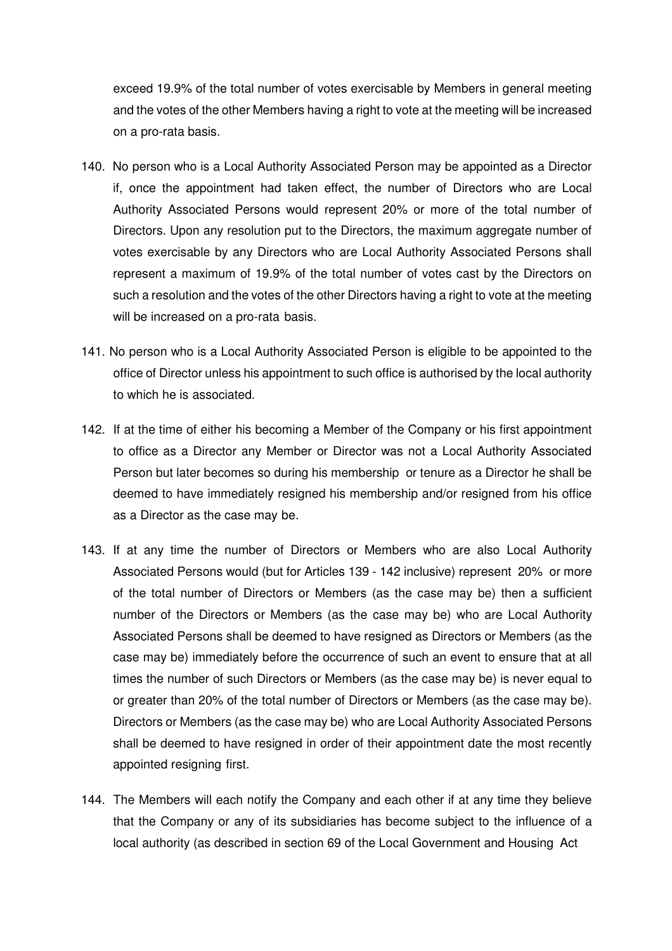exceed 19.9% of the total number of votes exercisable by Members in general meeting and the votes of the other Members having a right to vote at the meeting will be increased on a pro-rata basis.

- 140. No person who is a Local Authority Associated Person may be appointed as a Director if, once the appointment had taken effect, the number of Directors who are Local Authority Associated Persons would represent 20% or more of the total number of Directors. Upon any resolution put to the Directors, the maximum aggregate number of votes exercisable by any Directors who are Local Authority Associated Persons shall represent a maximum of 19.9% of the total number of votes cast by the Directors on such a resolution and the votes of the other Directors having a right to vote at the meeting will be increased on a pro-rata basis.
- 141. No person who is a Local Authority Associated Person is eligible to be appointed to the office of Director unless his appointment to such office is authorised by the local authority to which he is associated.
- 142. If at the time of either his becoming a Member of the Company or his first appointment to office as a Director any Member or Director was not a Local Authority Associated Person but later becomes so during his membership or tenure as a Director he shall be deemed to have immediately resigned his membership and/or resigned from his office as a Director as the case may be.
- 143. If at any time the number of Directors or Members who are also Local Authority Associated Persons would (but for Articles 139 - 142 inclusive) represent 20% or more of the total number of Directors or Members (as the case may be) then a sufficient number of the Directors or Members (as the case may be) who are Local Authority Associated Persons shall be deemed to have resigned as Directors or Members (as the case may be) immediately before the occurrence of such an event to ensure that at all times the number of such Directors or Members (as the case may be) is never equal to or greater than 20% of the total number of Directors or Members (as the case may be). Directors or Members (as the case may be) who are Local Authority Associated Persons shall be deemed to have resigned in order of their appointment date the most recently appointed resigning first.
- 144. The Members will each notify the Company and each other if at any time they believe that the Company or any of its subsidiaries has become subject to the influence of a local authority (as described in section 69 of the Local Government and Housing Act